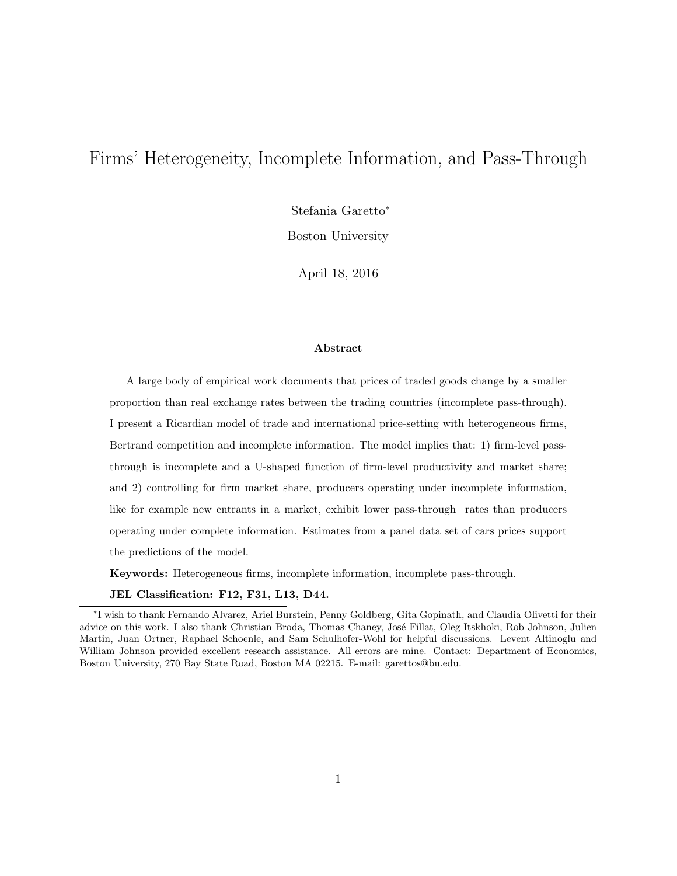# Firms' Heterogeneity, Incomplete Information, and Pass-Through

Stefania Garetto<sup>∗</sup>

Boston University

April 18, 2016

### Abstract

A large body of empirical work documents that prices of traded goods change by a smaller proportion than real exchange rates between the trading countries (incomplete pass-through). I present a Ricardian model of trade and international price-setting with heterogeneous firms, Bertrand competition and incomplete information. The model implies that: 1) firm-level passthrough is incomplete and a U-shaped function of firm-level productivity and market share; and 2) controlling for firm market share, producers operating under incomplete information, like for example new entrants in a market, exhibit lower pass-through rates than producers operating under complete information. Estimates from a panel data set of cars prices support the predictions of the model.

Keywords: Heterogeneous firms, incomplete information, incomplete pass-through.

JEL Classification: F12, F31, L13, D44.

<sup>∗</sup> I wish to thank Fernando Alvarez, Ariel Burstein, Penny Goldberg, Gita Gopinath, and Claudia Olivetti for their advice on this work. I also thank Christian Broda, Thomas Chaney, José Fillat, Oleg Itskhoki, Rob Johnson, Julien Martin, Juan Ortner, Raphael Schoenle, and Sam Schulhofer-Wohl for helpful discussions. Levent Altinoglu and William Johnson provided excellent research assistance. All errors are mine. Contact: Department of Economics, Boston University, 270 Bay State Road, Boston MA 02215. E-mail: garettos@bu.edu.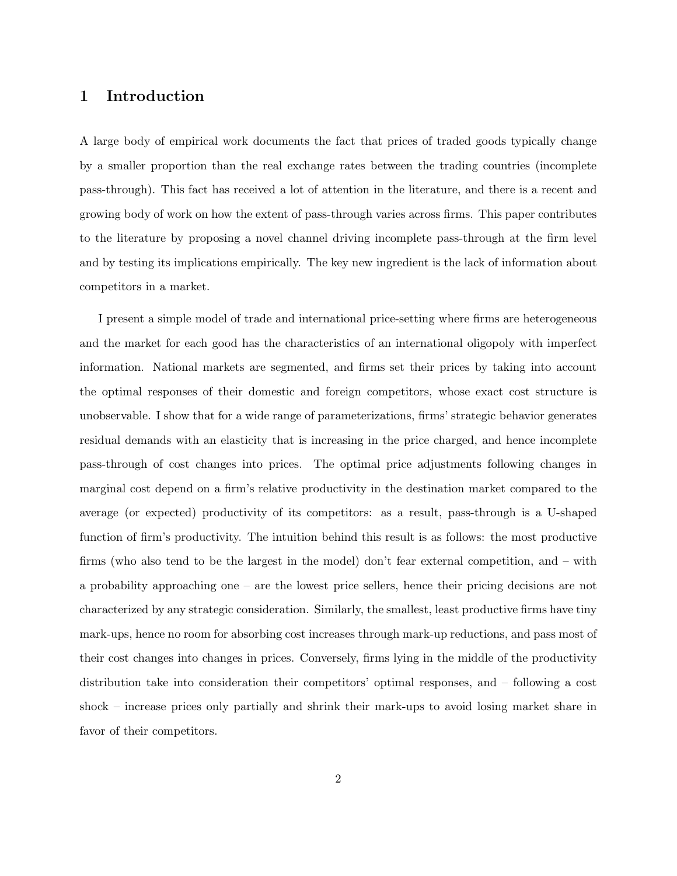## 1 Introduction

A large body of empirical work documents the fact that prices of traded goods typically change by a smaller proportion than the real exchange rates between the trading countries (incomplete pass-through). This fact has received a lot of attention in the literature, and there is a recent and growing body of work on how the extent of pass-through varies across firms. This paper contributes to the literature by proposing a novel channel driving incomplete pass-through at the firm level and by testing its implications empirically. The key new ingredient is the lack of information about competitors in a market.

I present a simple model of trade and international price-setting where firms are heterogeneous and the market for each good has the characteristics of an international oligopoly with imperfect information. National markets are segmented, and firms set their prices by taking into account the optimal responses of their domestic and foreign competitors, whose exact cost structure is unobservable. I show that for a wide range of parameterizations, firms' strategic behavior generates residual demands with an elasticity that is increasing in the price charged, and hence incomplete pass-through of cost changes into prices. The optimal price adjustments following changes in marginal cost depend on a firm's relative productivity in the destination market compared to the average (or expected) productivity of its competitors: as a result, pass-through is a U-shaped function of firm's productivity. The intuition behind this result is as follows: the most productive firms (who also tend to be the largest in the model) don't fear external competition, and – with a probability approaching one – are the lowest price sellers, hence their pricing decisions are not characterized by any strategic consideration. Similarly, the smallest, least productive firms have tiny mark-ups, hence no room for absorbing cost increases through mark-up reductions, and pass most of their cost changes into changes in prices. Conversely, firms lying in the middle of the productivity distribution take into consideration their competitors' optimal responses, and – following a cost shock – increase prices only partially and shrink their mark-ups to avoid losing market share in favor of their competitors.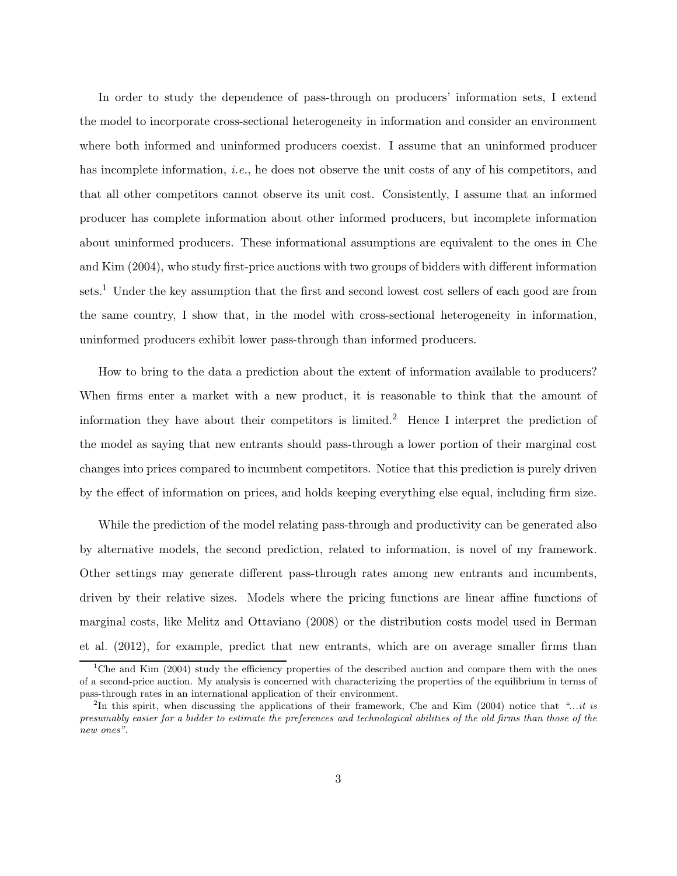In order to study the dependence of pass-through on producers' information sets, I extend the model to incorporate cross-sectional heterogeneity in information and consider an environment where both informed and uninformed producers coexist. I assume that an uninformed producer has incomplete information, *i.e.*, he does not observe the unit costs of any of his competitors, and that all other competitors cannot observe its unit cost. Consistently, I assume that an informed producer has complete information about other informed producers, but incomplete information about uninformed producers. These informational assumptions are equivalent to the ones in Che and Kim (2004), who study first-price auctions with two groups of bidders with different information sets.<sup>1</sup> Under the key assumption that the first and second lowest cost sellers of each good are from the same country, I show that, in the model with cross-sectional heterogeneity in information, uninformed producers exhibit lower pass-through than informed producers.

How to bring to the data a prediction about the extent of information available to producers? When firms enter a market with a new product, it is reasonable to think that the amount of information they have about their competitors is limited.<sup>2</sup> Hence I interpret the prediction of the model as saying that new entrants should pass-through a lower portion of their marginal cost changes into prices compared to incumbent competitors. Notice that this prediction is purely driven by the effect of information on prices, and holds keeping everything else equal, including firm size.

While the prediction of the model relating pass-through and productivity can be generated also by alternative models, the second prediction, related to information, is novel of my framework. Other settings may generate different pass-through rates among new entrants and incumbents, driven by their relative sizes. Models where the pricing functions are linear affine functions of marginal costs, like Melitz and Ottaviano (2008) or the distribution costs model used in Berman et al. (2012), for example, predict that new entrants, which are on average smaller firms than

<sup>&</sup>lt;sup>1</sup>Che and Kim (2004) study the efficiency properties of the described auction and compare them with the ones of a second-price auction. My analysis is concerned with characterizing the properties of the equilibrium in terms of pass-through rates in an international application of their environment.

<sup>&</sup>lt;sup>2</sup>In this spirit, when discussing the applications of their framework, Che and Kim (2004) notice that "...it is presumably easier for a bidder to estimate the preferences and technological abilities of the old firms than those of the new ones".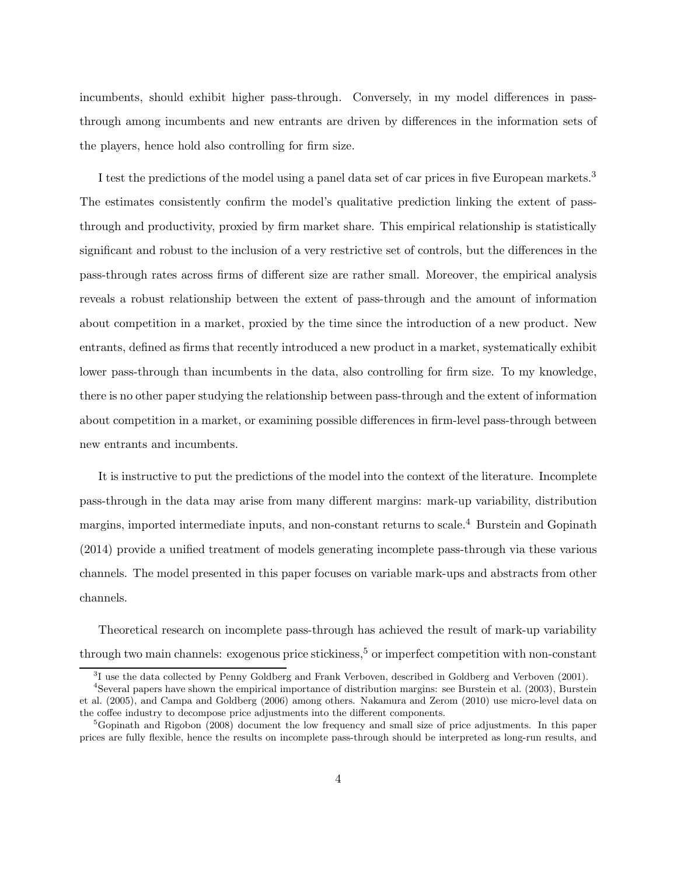incumbents, should exhibit higher pass-through. Conversely, in my model differences in passthrough among incumbents and new entrants are driven by differences in the information sets of the players, hence hold also controlling for firm size.

I test the predictions of the model using a panel data set of car prices in five European markets.<sup>3</sup> The estimates consistently confirm the model's qualitative prediction linking the extent of passthrough and productivity, proxied by firm market share. This empirical relationship is statistically significant and robust to the inclusion of a very restrictive set of controls, but the differences in the pass-through rates across firms of different size are rather small. Moreover, the empirical analysis reveals a robust relationship between the extent of pass-through and the amount of information about competition in a market, proxied by the time since the introduction of a new product. New entrants, defined as firms that recently introduced a new product in a market, systematically exhibit lower pass-through than incumbents in the data, also controlling for firm size. To my knowledge, there is no other paper studying the relationship between pass-through and the extent of information about competition in a market, or examining possible differences in firm-level pass-through between new entrants and incumbents.

It is instructive to put the predictions of the model into the context of the literature. Incomplete pass-through in the data may arise from many different margins: mark-up variability, distribution margins, imported intermediate inputs, and non-constant returns to scale.<sup>4</sup> Burstein and Gopinath (2014) provide a unified treatment of models generating incomplete pass-through via these various channels. The model presented in this paper focuses on variable mark-ups and abstracts from other channels.

Theoretical research on incomplete pass-through has achieved the result of mark-up variability through two main channels: exogenous price stickiness,<sup>5</sup> or imperfect competition with non-constant

<sup>&</sup>lt;sup>3</sup>I use the data collected by Penny Goldberg and Frank Verboven, described in Goldberg and Verboven (2001).

<sup>4</sup> Several papers have shown the empirical importance of distribution margins: see Burstein et al. (2003), Burstein et al. (2005), and Campa and Goldberg (2006) among others. Nakamura and Zerom (2010) use micro-level data on the coffee industry to decompose price adjustments into the different components.

<sup>&</sup>lt;sup>5</sup>Gopinath and Rigobon (2008) document the low frequency and small size of price adjustments. In this paper prices are fully flexible, hence the results on incomplete pass-through should be interpreted as long-run results, and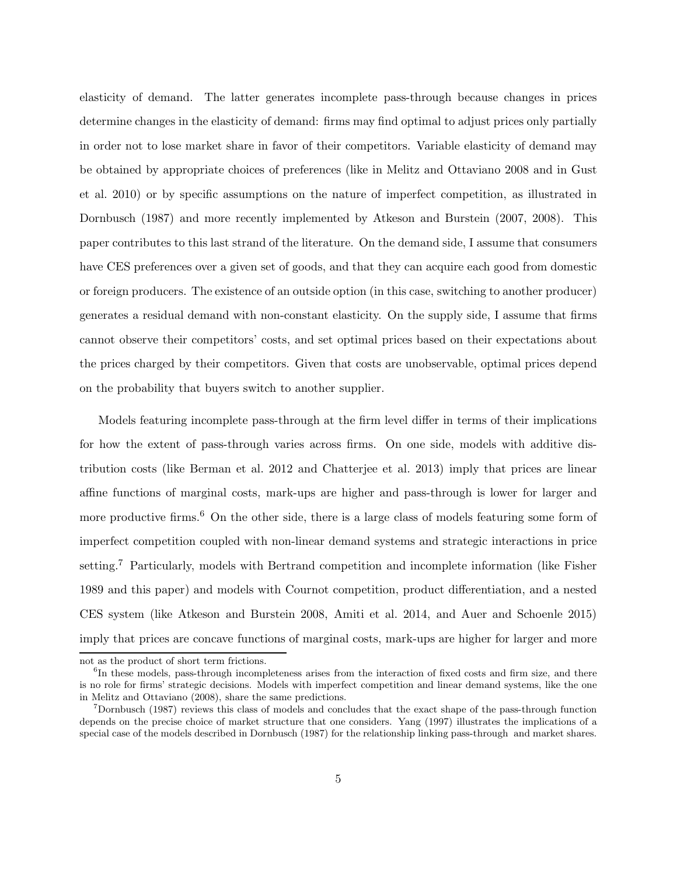elasticity of demand. The latter generates incomplete pass-through because changes in prices determine changes in the elasticity of demand: firms may find optimal to adjust prices only partially in order not to lose market share in favor of their competitors. Variable elasticity of demand may be obtained by appropriate choices of preferences (like in Melitz and Ottaviano 2008 and in Gust et al. 2010) or by specific assumptions on the nature of imperfect competition, as illustrated in Dornbusch (1987) and more recently implemented by Atkeson and Burstein (2007, 2008). This paper contributes to this last strand of the literature. On the demand side, I assume that consumers have CES preferences over a given set of goods, and that they can acquire each good from domestic or foreign producers. The existence of an outside option (in this case, switching to another producer) generates a residual demand with non-constant elasticity. On the supply side, I assume that firms cannot observe their competitors' costs, and set optimal prices based on their expectations about the prices charged by their competitors. Given that costs are unobservable, optimal prices depend on the probability that buyers switch to another supplier.

Models featuring incomplete pass-through at the firm level differ in terms of their implications for how the extent of pass-through varies across firms. On one side, models with additive distribution costs (like Berman et al. 2012 and Chatterjee et al. 2013) imply that prices are linear affine functions of marginal costs, mark-ups are higher and pass-through is lower for larger and more productive firms.<sup>6</sup> On the other side, there is a large class of models featuring some form of imperfect competition coupled with non-linear demand systems and strategic interactions in price setting.<sup>7</sup> Particularly, models with Bertrand competition and incomplete information (like Fisher 1989 and this paper) and models with Cournot competition, product differentiation, and a nested CES system (like Atkeson and Burstein 2008, Amiti et al. 2014, and Auer and Schoenle 2015) imply that prices are concave functions of marginal costs, mark-ups are higher for larger and more

not as the product of short term frictions.

<sup>&</sup>lt;sup>6</sup>In these models, pass-through incompleteness arises from the interaction of fixed costs and firm size, and there is no role for firms' strategic decisions. Models with imperfect competition and linear demand systems, like the one in Melitz and Ottaviano (2008), share the same predictions.

<sup>7</sup>Dornbusch (1987) reviews this class of models and concludes that the exact shape of the pass-through function depends on the precise choice of market structure that one considers. Yang (1997) illustrates the implications of a special case of the models described in Dornbusch (1987) for the relationship linking pass-through and market shares.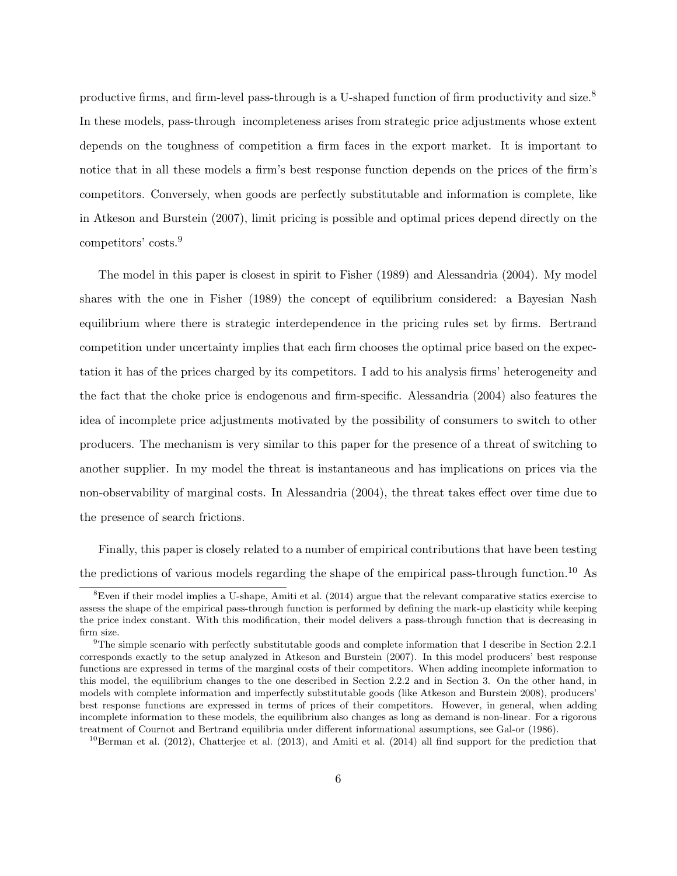productive firms, and firm-level pass-through is a U-shaped function of firm productivity and size.<sup>8</sup> In these models, pass-through incompleteness arises from strategic price adjustments whose extent depends on the toughness of competition a firm faces in the export market. It is important to notice that in all these models a firm's best response function depends on the prices of the firm's competitors. Conversely, when goods are perfectly substitutable and information is complete, like in Atkeson and Burstein (2007), limit pricing is possible and optimal prices depend directly on the competitors' costs.<sup>9</sup>

The model in this paper is closest in spirit to Fisher (1989) and Alessandria (2004). My model shares with the one in Fisher (1989) the concept of equilibrium considered: a Bayesian Nash equilibrium where there is strategic interdependence in the pricing rules set by firms. Bertrand competition under uncertainty implies that each firm chooses the optimal price based on the expectation it has of the prices charged by its competitors. I add to his analysis firms' heterogeneity and the fact that the choke price is endogenous and firm-specific. Alessandria (2004) also features the idea of incomplete price adjustments motivated by the possibility of consumers to switch to other producers. The mechanism is very similar to this paper for the presence of a threat of switching to another supplier. In my model the threat is instantaneous and has implications on prices via the non-observability of marginal costs. In Alessandria (2004), the threat takes effect over time due to the presence of search frictions.

Finally, this paper is closely related to a number of empirical contributions that have been testing the predictions of various models regarding the shape of the empirical pass-through function.<sup>10</sup> As

 ${}^{8}$ Even if their model implies a U-shape, Amiti et al. (2014) argue that the relevant comparative statics exercise to assess the shape of the empirical pass-through function is performed by defining the mark-up elasticity while keeping the price index constant. With this modification, their model delivers a pass-through function that is decreasing in firm size.

 $9$ The simple scenario with perfectly substitutable goods and complete information that I describe in Section 2.2.1 corresponds exactly to the setup analyzed in Atkeson and Burstein (2007). In this model producers' best response functions are expressed in terms of the marginal costs of their competitors. When adding incomplete information to this model, the equilibrium changes to the one described in Section 2.2.2 and in Section 3. On the other hand, in models with complete information and imperfectly substitutable goods (like Atkeson and Burstein 2008), producers' best response functions are expressed in terms of prices of their competitors. However, in general, when adding incomplete information to these models, the equilibrium also changes as long as demand is non-linear. For a rigorous treatment of Cournot and Bertrand equilibria under different informational assumptions, see Gal-or (1986).

 $^{10}$ Berman et al. (2012), Chatterjee et al. (2013), and Amiti et al. (2014) all find support for the prediction that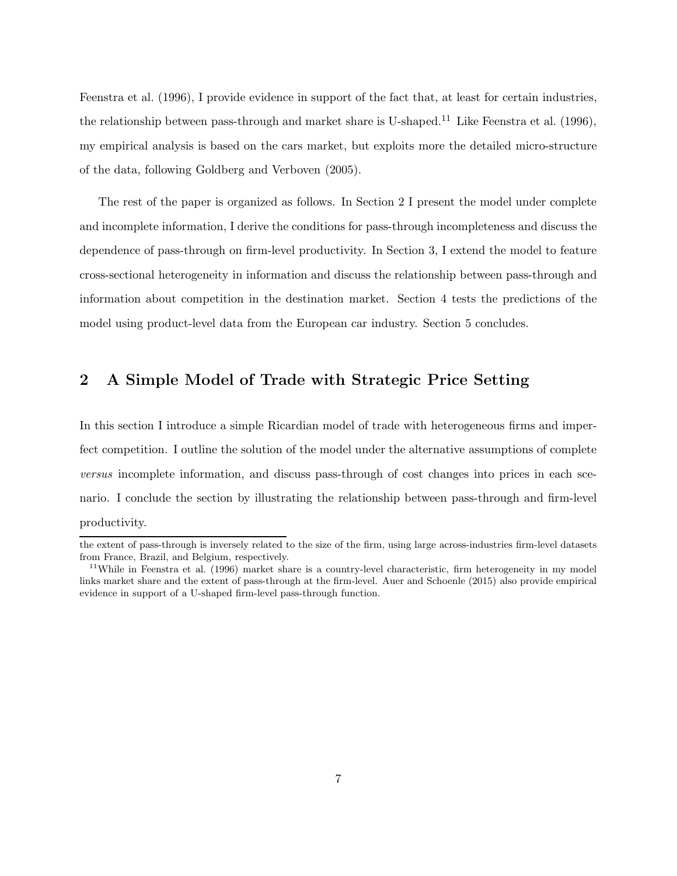Feenstra et al. (1996), I provide evidence in support of the fact that, at least for certain industries, the relationship between pass-through and market share is U-shaped.<sup>11</sup> Like Feenstra et al. (1996), my empirical analysis is based on the cars market, but exploits more the detailed micro-structure of the data, following Goldberg and Verboven (2005).

The rest of the paper is organized as follows. In Section 2 I present the model under complete and incomplete information, I derive the conditions for pass-through incompleteness and discuss the dependence of pass-through on firm-level productivity. In Section 3, I extend the model to feature cross-sectional heterogeneity in information and discuss the relationship between pass-through and information about competition in the destination market. Section 4 tests the predictions of the model using product-level data from the European car industry. Section 5 concludes.

## 2 A Simple Model of Trade with Strategic Price Setting

In this section I introduce a simple Ricardian model of trade with heterogeneous firms and imperfect competition. I outline the solution of the model under the alternative assumptions of complete *versus* incomplete information, and discuss pass-through of cost changes into prices in each scenario. I conclude the section by illustrating the relationship between pass-through and firm-level productivity.

the extent of pass-through is inversely related to the size of the firm, using large across-industries firm-level datasets from France, Brazil, and Belgium, respectively.

<sup>&</sup>lt;sup>11</sup>While in Feenstra et al. (1996) market share is a country-level characteristic, firm heterogeneity in my model links market share and the extent of pass-through at the firm-level. Auer and Schoenle (2015) also provide empirical evidence in support of a U-shaped firm-level pass-through function.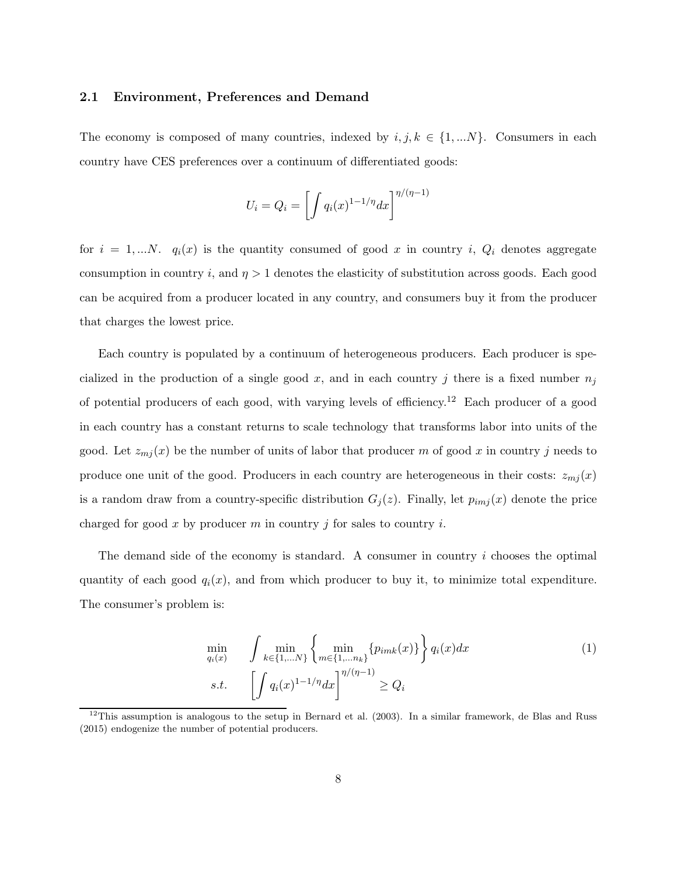### 2.1 Environment, Preferences and Demand

The economy is composed of many countries, indexed by  $i, j, k \in \{1, ...N\}$ . Consumers in each country have CES preferences over a continuum of differentiated goods:

$$
U_i = Q_i = \left[ \int q_i(x)^{1-1/\eta} dx \right]^{\eta/(\eta-1)}
$$

for  $i = 1,...N$ .  $q_i(x)$  is the quantity consumed of good x in country i,  $Q_i$  denotes aggregate consumption in country i, and  $\eta > 1$  denotes the elasticity of substitution across goods. Each good can be acquired from a producer located in any country, and consumers buy it from the producer that charges the lowest price.

Each country is populated by a continuum of heterogeneous producers. Each producer is specialized in the production of a single good x, and in each country j there is a fixed number  $n_j$ of potential producers of each good, with varying levels of efficiency.<sup>12</sup> Each producer of a good in each country has a constant returns to scale technology that transforms labor into units of the good. Let  $z_{mj}(x)$  be the number of units of labor that producer m of good x in country j needs to produce one unit of the good. Producers in each country are heterogeneous in their costs:  $z_{mj}(x)$ is a random draw from a country-specific distribution  $G_j(z)$ . Finally, let  $p_{imj}(x)$  denote the price charged for good x by producer m in country j for sales to country i.

The demand side of the economy is standard. A consumer in country i chooses the optimal quantity of each good  $q_i(x)$ , and from which producer to buy it, to minimize total expenditure. The consumer's problem is:

$$
\min_{q_i(x)} \quad \int \min_{k \in \{1, \dots N\}} \left\{ \min_{m \in \{1, \dots n_k\}} \{p_{imk}(x)\} \right\} q_i(x) dx
$$
\n
$$
s.t. \quad \left[ \int q_i(x)^{1-1/\eta} dx \right]^{\eta/(\eta-1)} \ge Q_i
$$
\n(1)

<sup>&</sup>lt;sup>12</sup>This assumption is analogous to the setup in Bernard et al.  $(2003)$ . In a similar framework, de Blas and Russ (2015) endogenize the number of potential producers.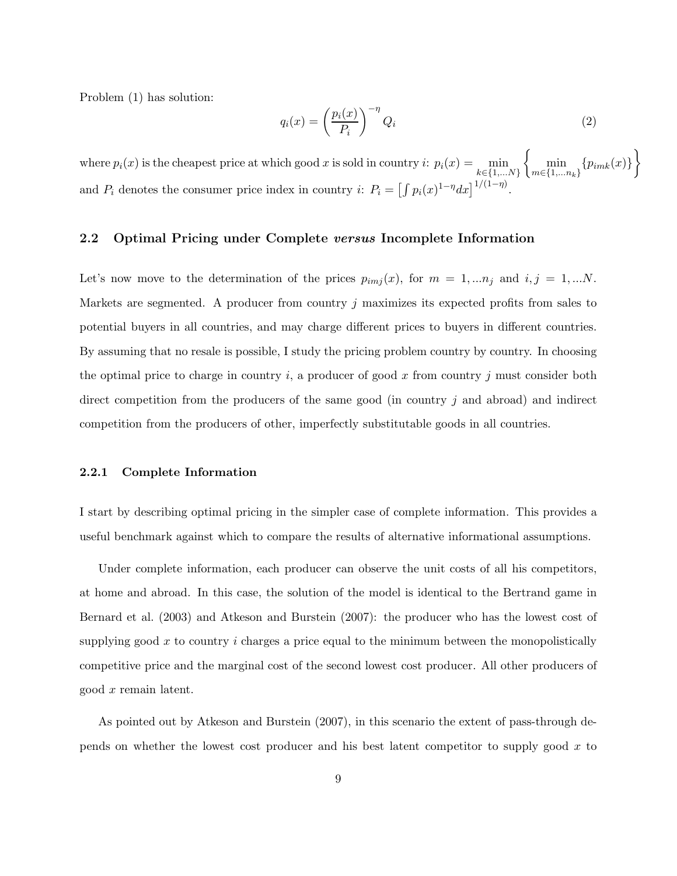Problem (1) has solution:

$$
q_i(x) = \left(\frac{p_i(x)}{P_i}\right)^{-\eta} Q_i
$$
\n(2)

where  $p_i(x)$  is the cheapest price at which good x is sold in country  $i: p_i(x) = \min_{k \in \{1,...N\}}$  $\left\{\min_{m\in\{1,...n_k\}}\{p_{imk}(x)\}\right\}$ and  $P_i$  denotes the consumer price index in country i:  $P_i = \left[\int p_i(x)^{1-\eta} dx\right]^{1/(1-\eta)}$ .

### 2.2 Optimal Pricing under Complete versus Incomplete Information

Let's now move to the determination of the prices  $p_{imj}(x)$ , for  $m = 1,...n_j$  and  $i, j = 1,...N$ . Markets are segmented. A producer from country  $j$  maximizes its expected profits from sales to potential buyers in all countries, and may charge different prices to buyers in different countries. By assuming that no resale is possible, I study the pricing problem country by country. In choosing the optimal price to charge in country i, a producer of good x from country j must consider both direct competition from the producers of the same good (in country j and abroad) and indirect competition from the producers of other, imperfectly substitutable goods in all countries.

#### 2.2.1 Complete Information

I start by describing optimal pricing in the simpler case of complete information. This provides a useful benchmark against which to compare the results of alternative informational assumptions.

Under complete information, each producer can observe the unit costs of all his competitors, at home and abroad. In this case, the solution of the model is identical to the Bertrand game in Bernard et al. (2003) and Atkeson and Burstein (2007): the producer who has the lowest cost of supplying good  $x$  to country  $i$  charges a price equal to the minimum between the monopolistically competitive price and the marginal cost of the second lowest cost producer. All other producers of good x remain latent.

As pointed out by Atkeson and Burstein (2007), in this scenario the extent of pass-through depends on whether the lowest cost producer and his best latent competitor to supply good  $x$  to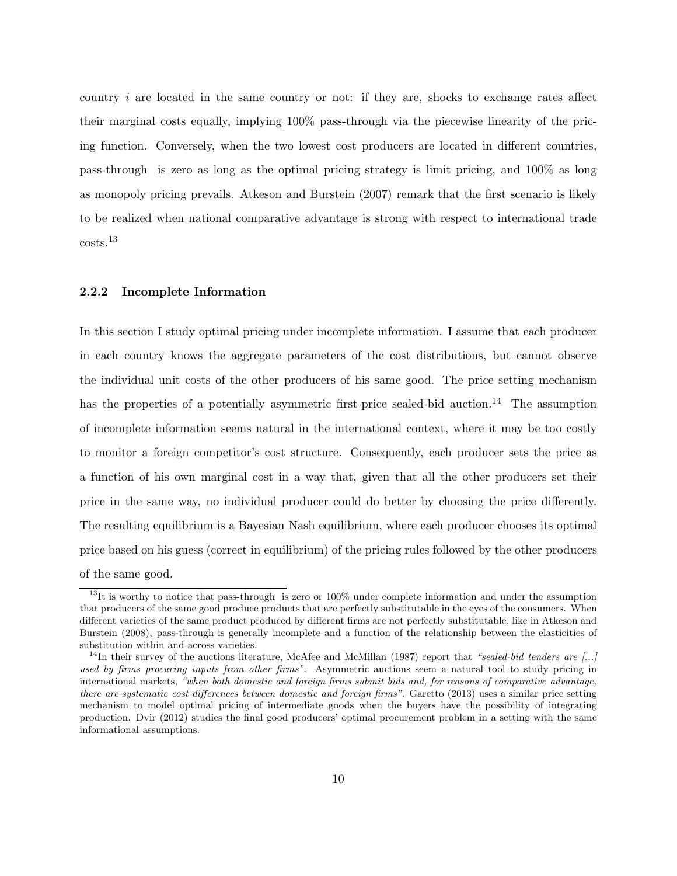country  $i$  are located in the same country or not: if they are, shocks to exchange rates affect their marginal costs equally, implying 100% pass-through via the piecewise linearity of the pricing function. Conversely, when the two lowest cost producers are located in different countries, pass-through is zero as long as the optimal pricing strategy is limit pricing, and 100% as long as monopoly pricing prevails. Atkeson and Burstein (2007) remark that the first scenario is likely to be realized when national comparative advantage is strong with respect to international trade costs.<sup>13</sup>

### 2.2.2 Incomplete Information

In this section I study optimal pricing under incomplete information. I assume that each producer in each country knows the aggregate parameters of the cost distributions, but cannot observe the individual unit costs of the other producers of his same good. The price setting mechanism has the properties of a potentially asymmetric first-price sealed-bid auction.<sup>14</sup> The assumption of incomplete information seems natural in the international context, where it may be too costly to monitor a foreign competitor's cost structure. Consequently, each producer sets the price as a function of his own marginal cost in a way that, given that all the other producers set their price in the same way, no individual producer could do better by choosing the price differently. The resulting equilibrium is a Bayesian Nash equilibrium, where each producer chooses its optimal price based on his guess (correct in equilibrium) of the pricing rules followed by the other producers of the same good.

<sup>&</sup>lt;sup>13</sup>It is worthy to notice that pass-through is zero or 100% under complete information and under the assumption that producers of the same good produce products that are perfectly substitutable in the eyes of the consumers. When different varieties of the same product produced by different firms are not perfectly substitutable, like in Atkeson and Burstein (2008), pass-through is generally incomplete and a function of the relationship between the elasticities of substitution within and across varieties.

<sup>&</sup>lt;sup>14</sup>In their survey of the auctions literature, McAfee and McMillan (1987) report that "sealed-bid tenders are [...] used by firms procuring inputs from other firms". Asymmetric auctions seem a natural tool to study pricing in international markets, "when both domestic and foreign firms submit bids and, for reasons of comparative advantage, there are systematic cost differences between domestic and foreign firms". Garetto (2013) uses a similar price setting mechanism to model optimal pricing of intermediate goods when the buyers have the possibility of integrating production. Dvir (2012) studies the final good producers' optimal procurement problem in a setting with the same informational assumptions.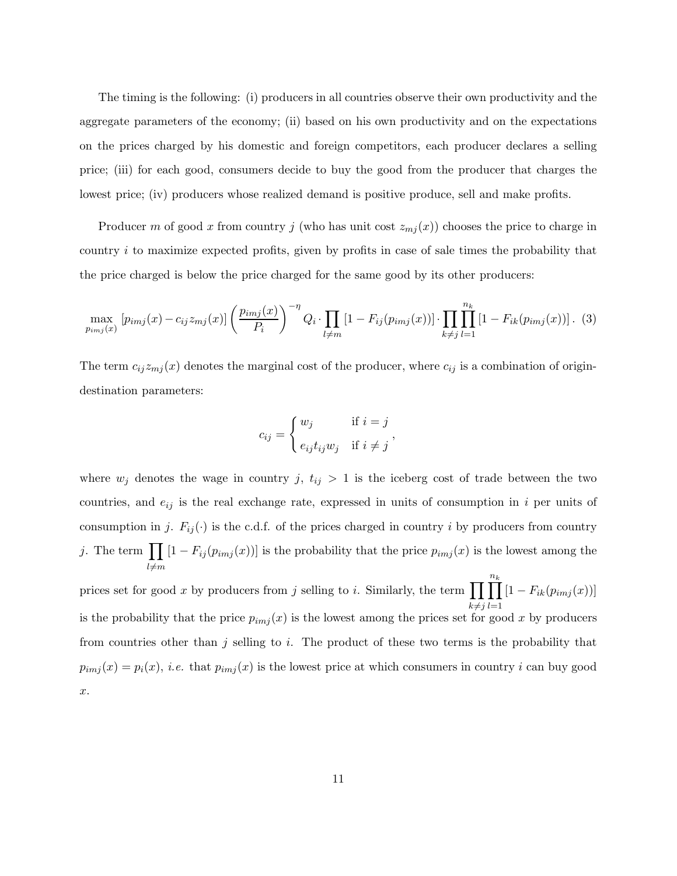The timing is the following: (i) producers in all countries observe their own productivity and the aggregate parameters of the economy; (ii) based on his own productivity and on the expectations on the prices charged by his domestic and foreign competitors, each producer declares a selling price; (iii) for each good, consumers decide to buy the good from the producer that charges the lowest price; (iv) producers whose realized demand is positive produce, sell and make profits.

Producer m of good x from country j (who has unit cost  $z_{mj}(x)$ ) chooses the price to charge in country  $i$  to maximize expected profits, given by profits in case of sale times the probability that the price charged is below the price charged for the same good by its other producers:

$$
\max_{p_{imj}(x)} [p_{imj}(x) - c_{ij}z_{mj}(x)] \left(\frac{p_{imj}(x)}{P_i}\right)^{-\eta} Q_i \cdot \prod_{l \neq m} [1 - F_{ij}(p_{imj}(x))] \cdot \prod_{k \neq j} \prod_{l=1}^{n_k} [1 - F_{ik}(p_{imj}(x))] \tag{3}
$$

The term  $c_{ij}z_{mj}(x)$  denotes the marginal cost of the producer, where  $c_{ij}$  is a combination of origindestination parameters:

$$
c_{ij} = \begin{cases} w_j & \text{if } i = j \\ e_{ij} t_{ij} w_j & \text{if } i \neq j \end{cases},
$$

where  $w_j$  denotes the wage in country j,  $t_{ij} > 1$  is the iceberg cost of trade between the two countries, and  $e_{ij}$  is the real exchange rate, expressed in units of consumption in i per units of consumption in j.  $F_{ij}(\cdot)$  is the c.d.f. of the prices charged in country i by producers from country j. The term  $\prod$  $_{l \neq m}$  $[1 - F_{ij}(p_{imj}(x))]$  is the probability that the price  $p_{imj}(x)$  is the lowest among the

prices set for good x by producers from j selling to i. Similarly, the term  $\prod_{i=1}^{n_k} [1 - F_{ik}(p_{imj}(x))]$  $_{k\neq j}$  $_{l=1}$ is the probability that the price  $p_{imj}(x)$  is the lowest among the prices set for good x by producers from countries other than  $j$  selling to  $i$ . The product of these two terms is the probability that  $p_{imj}(x) = p_i(x)$ , *i.e.* that  $p_{imj}(x)$  is the lowest price at which consumers in country *i* can buy good x.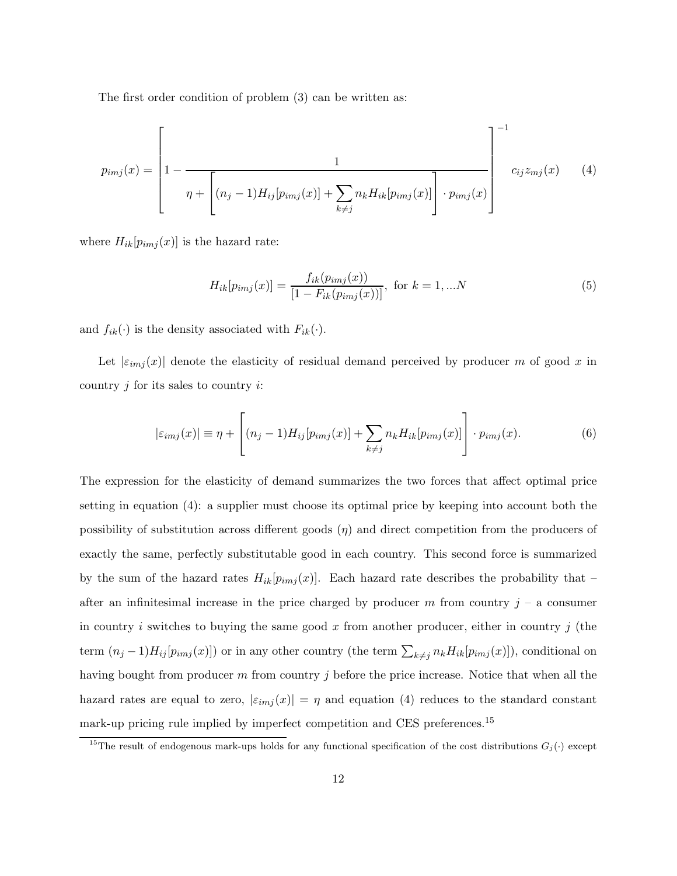The first order condition of problem (3) can be written as:

$$
p_{imj}(x) = \left[1 - \frac{1}{\eta + \left[ (n_j - 1)H_{ij}[p_{imj}(x)] + \sum_{k \neq j} n_k H_{ik}[p_{imj}(x)] \right] \cdot p_{imj}(x)} \right]^{-1} c_{ij} z_{mj}(x) \qquad (4)
$$

where  $H_{ik}[p_{imj}(x)]$  is the hazard rate:

$$
H_{ik}[p_{imj}(x)] = \frac{f_{ik}(p_{imj}(x))}{[1 - F_{ik}(p_{imj}(x))]}, \text{ for } k = 1, ...N
$$
 (5)

and  $f_{ik}(\cdot)$  is the density associated with  $F_{ik}(\cdot)$ .

Let  $|\epsilon_{imj}(x)|$  denote the elasticity of residual demand perceived by producer m of good x in country  $j$  for its sales to country  $i$ :

$$
|\varepsilon_{imj}(x)| \equiv \eta + \left[ (n_j - 1)H_{ij}[p_{imj}(x)] + \sum_{k \neq j} n_k H_{ik}[p_{imj}(x)] \right] \cdot p_{imj}(x). \tag{6}
$$

The expression for the elasticity of demand summarizes the two forces that affect optimal price setting in equation (4): a supplier must choose its optimal price by keeping into account both the possibility of substitution across different goods  $(\eta)$  and direct competition from the producers of exactly the same, perfectly substitutable good in each country. This second force is summarized by the sum of the hazard rates  $H_{ik}[p_{imj}(x)]$ . Each hazard rate describes the probability that – after an infinitesimal increase in the price charged by producer  $m$  from country  $j - a$  consumer in country i switches to buying the same good x from another producer, either in country j (the term  $(n_j-1)H_{ij}[p_{imj}(x)]$  or in any other country (the term  $\sum_{k\neq j} n_k H_{ik}[p_{imj}(x)]$ ), conditional on having bought from producer  $m$  from country  $j$  before the price increase. Notice that when all the hazard rates are equal to zero,  $|\varepsilon_{imj}(x)| = \eta$  and equation (4) reduces to the standard constant mark-up pricing rule implied by imperfect competition and CES preferences.<sup>15</sup>

<sup>&</sup>lt;sup>15</sup>The result of endogenous mark-ups holds for any functional specification of the cost distributions  $G_j(\cdot)$  except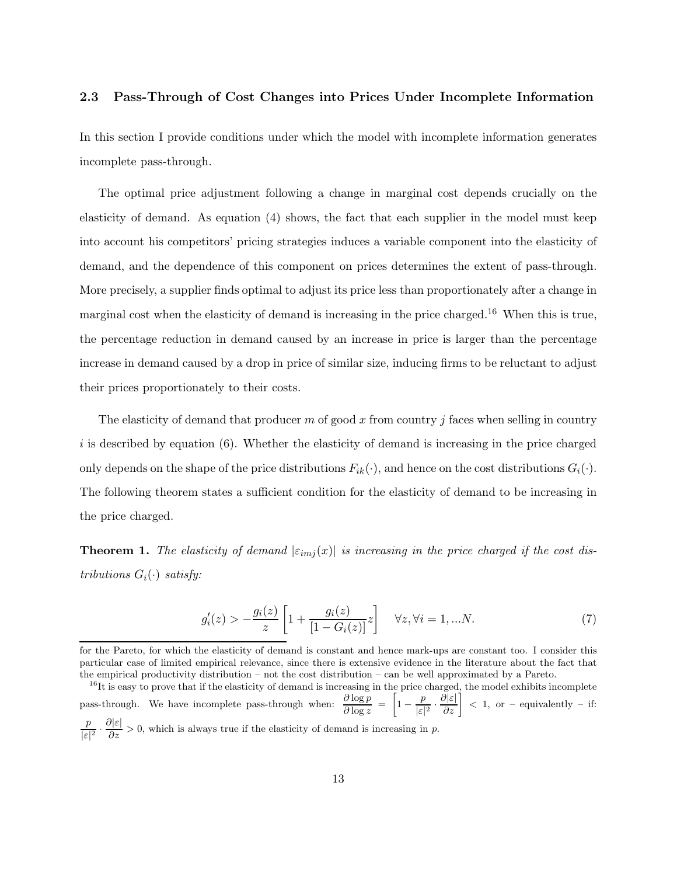### 2.3 Pass-Through of Cost Changes into Prices Under Incomplete Information

In this section I provide conditions under which the model with incomplete information generates incomplete pass-through.

The optimal price adjustment following a change in marginal cost depends crucially on the elasticity of demand. As equation (4) shows, the fact that each supplier in the model must keep into account his competitors' pricing strategies induces a variable component into the elasticity of demand, and the dependence of this component on prices determines the extent of pass-through. More precisely, a supplier finds optimal to adjust its price less than proportionately after a change in marginal cost when the elasticity of demand is increasing in the price charged.<sup>16</sup> When this is true, the percentage reduction in demand caused by an increase in price is larger than the percentage increase in demand caused by a drop in price of similar size, inducing firms to be reluctant to adjust their prices proportionately to their costs.

The elasticity of demand that producer m of good x from country j faces when selling in country  $i$  is described by equation (6). Whether the elasticity of demand is increasing in the price charged only depends on the shape of the price distributions  $F_{ik}(\cdot)$ , and hence on the cost distributions  $G_i(\cdot)$ . The following theorem states a sufficient condition for the elasticity of demand to be increasing in the price charged.

**Theorem 1.** The elasticity of demand  $|\varepsilon_{imj}(x)|$  is increasing in the price charged if the cost dis*tributions*  $G_i(\cdot)$  *satisfy:* 

$$
g'_{i}(z) > -\frac{g_{i}(z)}{z} \left[ 1 + \frac{g_{i}(z)}{[1 - G_{i}(z)]} z \right] \quad \forall z, \forall i = 1, ... N.
$$
 (7)

for the Pareto, for which the elasticity of demand is constant and hence mark-ups are constant too. I consider this particular case of limited empirical relevance, since there is extensive evidence in the literature about the fact that the empirical productivity distribution – not the cost distribution – can be well approximated by a Pareto.

 $^{16}$ It is easy to prove that if the elasticity of demand is increasing in the price charged, the model exhibits incomplete pass-through. We have incomplete pass-through when:  $\frac{\partial \log p}{\partial \log z} = \left[1 - \frac{p}{|\varepsilon|}\right]$  $\left[\frac{p}{|\varepsilon|^2}\cdot\frac{\partial|\varepsilon|}{\partial z}\right] < 1$ , or – equivalently – if: p  $\frac{p}{|\varepsilon|^2} \cdot \frac{\partial |\varepsilon|}{\partial z} > 0$ , which is always true if the elasticity of demand is increasing in p.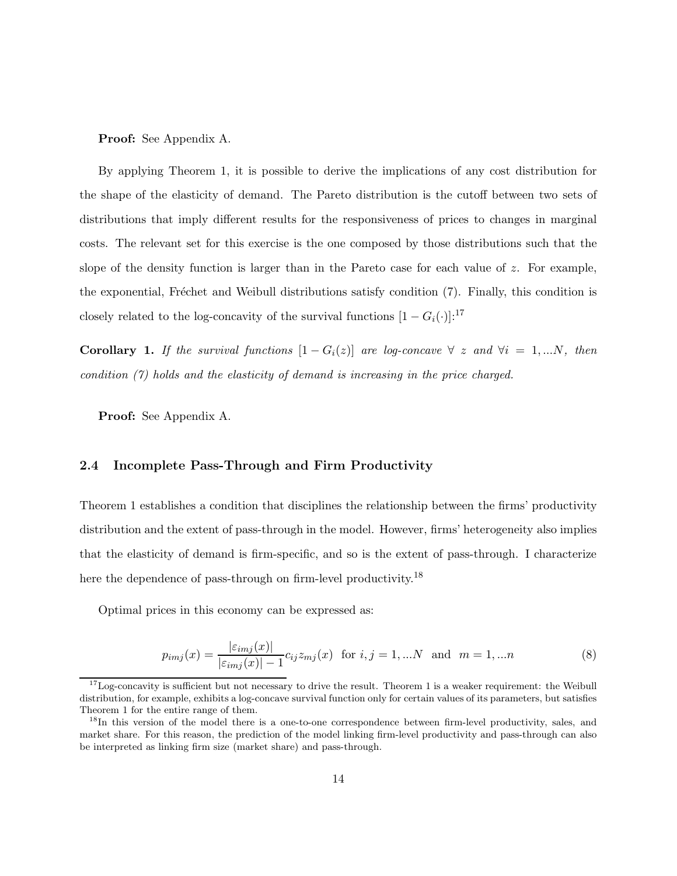Proof: See Appendix A.

By applying Theorem 1, it is possible to derive the implications of any cost distribution for the shape of the elasticity of demand. The Pareto distribution is the cutoff between two sets of distributions that imply different results for the responsiveness of prices to changes in marginal costs. The relevant set for this exercise is the one composed by those distributions such that the slope of the density function is larger than in the Pareto case for each value of z. For example, the exponential, Fréchet and Weibull distributions satisfy condition (7). Finally, this condition is closely related to the log-concavity of the survival functions  $[1 - G_i(\cdot)]$ :<sup>17</sup>

Corollary 1. If the survival functions  $[1 - G_i(z)]$  are log-concave  $\forall z$  and  $\forall i = 1,...N$ , then *condition (7) holds and the elasticity of demand is increasing in the price charged.*

Proof: See Appendix A.

### 2.4 Incomplete Pass-Through and Firm Productivity

Theorem 1 establishes a condition that disciplines the relationship between the firms' productivity distribution and the extent of pass-through in the model. However, firms' heterogeneity also implies that the elasticity of demand is firm-specific, and so is the extent of pass-through. I characterize here the dependence of pass-through on firm-level productivity.<sup>18</sup>

Optimal prices in this economy can be expressed as:

$$
p_{imj}(x) = \frac{|\varepsilon_{imj}(x)|}{|\varepsilon_{imj}(x)| - 1} c_{ij} z_{mj}(x) \text{ for } i, j = 1,...N \text{ and } m = 1,...n
$$
 (8)

 $17$ Log-concavity is sufficient but not necessary to drive the result. Theorem 1 is a weaker requirement: the Weibull distribution, for example, exhibits a log-concave survival function only for certain values of its parameters, but satisfies Theorem 1 for the entire range of them.

<sup>&</sup>lt;sup>18</sup>In this version of the model there is a one-to-one correspondence between firm-level productivity, sales, and market share. For this reason, the prediction of the model linking firm-level productivity and pass-through can also be interpreted as linking firm size (market share) and pass-through.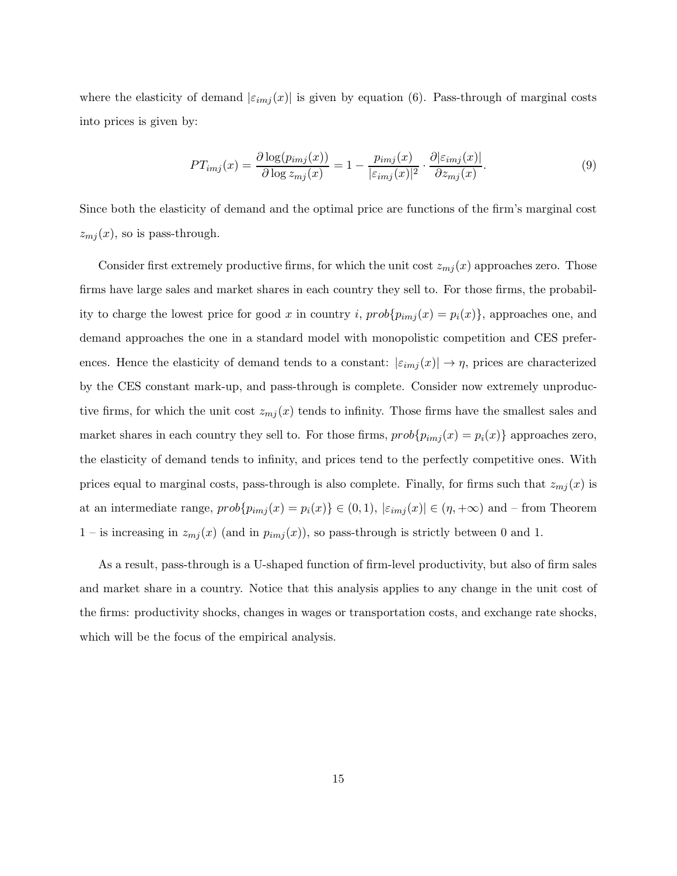where the elasticity of demand  $|\varepsilon_{imj}(x)|$  is given by equation (6). Pass-through of marginal costs into prices is given by:

$$
PT_{imj}(x) = \frac{\partial \log(p_{imj}(x))}{\partial \log z_{mj}(x)} = 1 - \frac{p_{imj}(x)}{|\varepsilon_{imj}(x)|^2} \cdot \frac{\partial |\varepsilon_{imj}(x)|}{\partial z_{mj}(x)}.
$$
\n(9)

Since both the elasticity of demand and the optimal price are functions of the firm's marginal cost  $z_{mj}(x)$ , so is pass-through.

Consider first extremely productive firms, for which the unit cost  $z_{mj}(x)$  approaches zero. Those firms have large sales and market shares in each country they sell to. For those firms, the probability to charge the lowest price for good x in country i,  $prob\{p_{imj}(x) = p_i(x)\}\$ , approaches one, and demand approaches the one in a standard model with monopolistic competition and CES preferences. Hence the elasticity of demand tends to a constant:  $|\varepsilon_{imj}(x)| \to \eta$ , prices are characterized by the CES constant mark-up, and pass-through is complete. Consider now extremely unproductive firms, for which the unit cost  $z_{mj}(x)$  tends to infinity. Those firms have the smallest sales and market shares in each country they sell to. For those firms,  $prob{p_{imj}(x) = p_i(x)}$  approaches zero, the elasticity of demand tends to infinity, and prices tend to the perfectly competitive ones. With prices equal to marginal costs, pass-through is also complete. Finally, for firms such that  $z_{mj}(x)$  is at an intermediate range,  $prob\{p_{imj}(x) = p_i(x)\} \in (0, 1), |\varepsilon_{imj}(x)| \in (\eta, +\infty)$  and – from Theorem 1 – is increasing in  $z_{mj}(x)$  (and in  $p_{imj}(x)$ ), so pass-through is strictly between 0 and 1.

As a result, pass-through is a U-shaped function of firm-level productivity, but also of firm sales and market share in a country. Notice that this analysis applies to any change in the unit cost of the firms: productivity shocks, changes in wages or transportation costs, and exchange rate shocks, which will be the focus of the empirical analysis.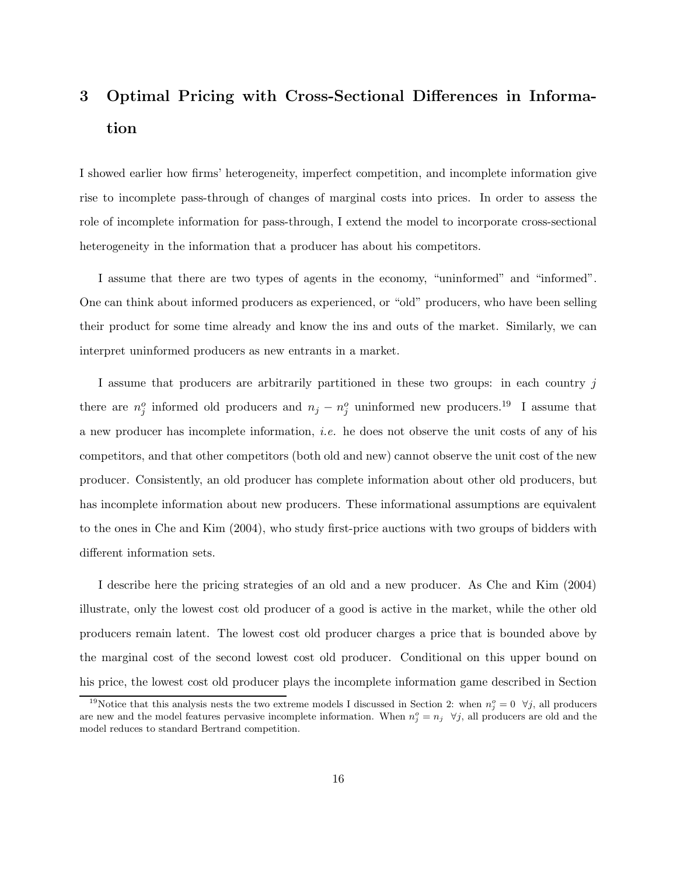# 3 Optimal Pricing with Cross-Sectional Differences in Information

I showed earlier how firms' heterogeneity, imperfect competition, and incomplete information give rise to incomplete pass-through of changes of marginal costs into prices. In order to assess the role of incomplete information for pass-through, I extend the model to incorporate cross-sectional heterogeneity in the information that a producer has about his competitors.

I assume that there are two types of agents in the economy, "uninformed" and "informed". One can think about informed producers as experienced, or "old" producers, who have been selling their product for some time already and know the ins and outs of the market. Similarly, we can interpret uninformed producers as new entrants in a market.

I assume that producers are arbitrarily partitioned in these two groups: in each country j there are  $n_j^o$  informed old producers and  $n_j - n_j^o$  uninformed new producers.<sup>19</sup> I assume that a new producer has incomplete information, *i.e.* he does not observe the unit costs of any of his competitors, and that other competitors (both old and new) cannot observe the unit cost of the new producer. Consistently, an old producer has complete information about other old producers, but has incomplete information about new producers. These informational assumptions are equivalent to the ones in Che and Kim (2004), who study first-price auctions with two groups of bidders with different information sets.

I describe here the pricing strategies of an old and a new producer. As Che and Kim (2004) illustrate, only the lowest cost old producer of a good is active in the market, while the other old producers remain latent. The lowest cost old producer charges a price that is bounded above by the marginal cost of the second lowest cost old producer. Conditional on this upper bound on his price, the lowest cost old producer plays the incomplete information game described in Section

<sup>&</sup>lt;sup>19</sup>Notice that this analysis nests the two extreme models I discussed in Section 2: when  $n_j^o = 0 \quad \forall j$ , all producers are new and the model features pervasive incomplete information. When  $n_j^o = n_j \quad \forall j$ , all producers are old and the model reduces to standard Bertrand competition.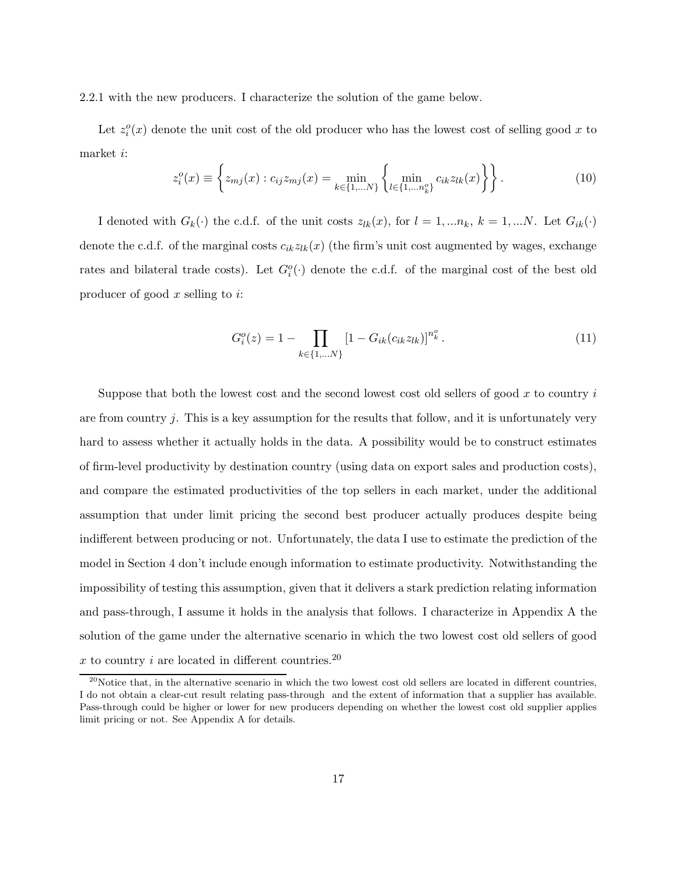2.2.1 with the new producers. I characterize the solution of the game below.

Let  $z_i^o(x)$  denote the unit cost of the old producer who has the lowest cost of selling good x to market i:

$$
z_i^o(x) \equiv \left\{ z_{mj}(x) : c_{ij} z_{mj}(x) = \min_{k \in \{1, \dots N\}} \left\{ \min_{l \in \{1, \dots n_k^o\}} c_{ik} z_{lk}(x) \right\} \right\}.
$$
 (10)

I denoted with  $G_k(\cdot)$  the c.d.f. of the unit costs  $z_{lk}(x)$ , for  $l = 1, ..., n_k$ ,  $k = 1, ..., N$ . Let  $G_{ik}(\cdot)$ denote the c.d.f. of the marginal costs  $c_{ik}z_{lk}(x)$  (the firm's unit cost augmented by wages, exchange rates and bilateral trade costs). Let  $G_i^o(\cdot)$  denote the c.d.f. of the marginal cost of the best old producer of good  $x$  selling to  $i$ :

$$
G_i^o(z) = 1 - \prod_{k \in \{1, \dots N\}} \left[1 - G_{ik}(c_{ik} z_{lk})\right]^{n_k^o}.
$$
\n(11)

Suppose that both the lowest cost and the second lowest cost old sellers of good  $x$  to country  $i$ are from country  $j$ . This is a key assumption for the results that follow, and it is unfortunately very hard to assess whether it actually holds in the data. A possibility would be to construct estimates of firm-level productivity by destination country (using data on export sales and production costs), and compare the estimated productivities of the top sellers in each market, under the additional assumption that under limit pricing the second best producer actually produces despite being indifferent between producing or not. Unfortunately, the data I use to estimate the prediction of the model in Section 4 don't include enough information to estimate productivity. Notwithstanding the impossibility of testing this assumption, given that it delivers a stark prediction relating information and pass-through, I assume it holds in the analysis that follows. I characterize in Appendix A the solution of the game under the alternative scenario in which the two lowest cost old sellers of good x to country i are located in different countries.<sup>20</sup>

 $^{20}$ Notice that, in the alternative scenario in which the two lowest cost old sellers are located in different countries, I do not obtain a clear-cut result relating pass-through and the extent of information that a supplier has available. Pass-through could be higher or lower for new producers depending on whether the lowest cost old supplier applies limit pricing or not. See Appendix A for details.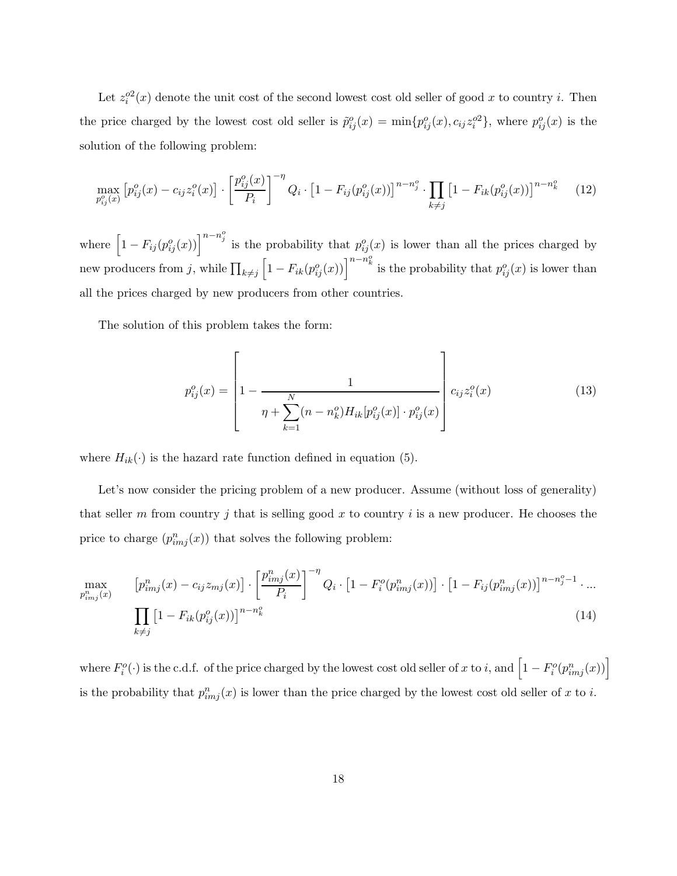Let  $z_i^{o2}(x)$  denote the unit cost of the second lowest cost old seller of good x to country i. Then the price charged by the lowest cost old seller is  $\tilde{p}_{ij}^o(x) = \min\{p_{ij}^o(x), c_{ij}z_i^{o2}\}\$ , where  $p_{ij}^o(x)$  is the solution of the following problem:

$$
\max_{p_{ij}^o(x)} \left[ p_{ij}^o(x) - c_{ij} z_i^o(x) \right] \cdot \left[ \frac{p_{ij}^o(x)}{P_i} \right]^{-\eta} Q_i \cdot \left[ 1 - F_{ij}(p_{ij}^o(x)) \right]^{n - n_j^o} \cdot \prod_{k \neq j} \left[ 1 - F_{ik}(p_{ij}^o(x)) \right]^{n - n_k^o} \tag{12}
$$

where  $\left[1-F_{ij}(p_{ij}^o(x))\right]^{n-n_j^o}$  is the probability that  $p_{ij}^o(x)$  is lower than all the prices charged by new producers from j, while  $\prod_{k\neq j} \left[1 - F_{ik}(p_{ij}^o(x))\right]^{n-n_k^o}$  is the probability that  $p_{ij}^o(x)$  is lower than all the prices charged by new producers from other countries.

The solution of this problem takes the form:

$$
p_{ij}^{o}(x) = \left[1 - \frac{1}{\eta + \sum_{k=1}^{N} (n - n_{k}^{o}) H_{ik} [p_{ij}^{o}(x)] \cdot p_{ij}^{o}(x)}\right] c_{ij} z_{i}^{o}(x)
$$
(13)

where  $H_{ik}(\cdot)$  is the hazard rate function defined in equation (5).

Let's now consider the pricing problem of a new producer. Assume (without loss of generality) that seller m from country j that is selling good x to country i is a new producer. He chooses the price to charge  $(p_{imj}^n(x))$  that solves the following problem:

$$
\max_{p_{imj}^n(x)} \left[ p_{imj}^n(x) - c_{ij} z_{mj}(x) \right] \cdot \left[ \frac{p_{imj}^n(x)}{P_i} \right]^{-\eta} Q_i \cdot \left[ 1 - F_i^o(p_{imj}^n(x)) \right] \cdot \left[ 1 - F_{ij}(p_{imj}^n(x)) \right]^{n - n_j^o - 1} \cdot \dots
$$
\n
$$
\prod_{k \neq j} \left[ 1 - F_{ik}(p_{ij}^o(x)) \right]^{n - n_k^o} \tag{14}
$$

where  $F_i^o(\cdot)$  is the c.d.f. of the price charged by the lowest cost old seller of x to i, and  $\left[1-F_i^o(p_{imj}^n(x))\right]$ is the probability that  $p_{imj}^n(x)$  is lower than the price charged by the lowest cost old seller of x to i.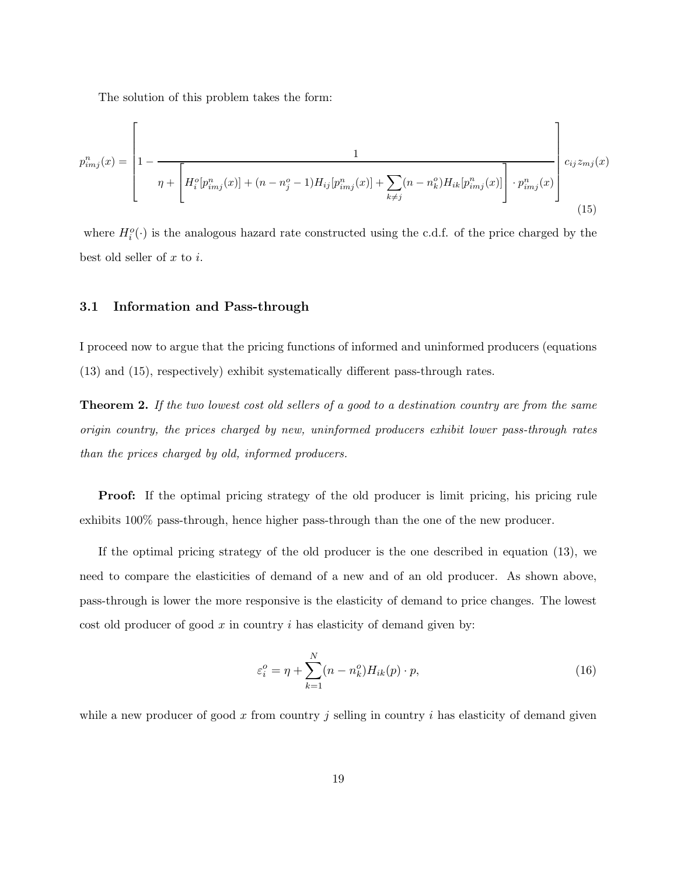The solution of this problem takes the form:

$$
p_{imj}^{n}(x) = \left[1 - \frac{1}{\eta + \left[H_{i}^{o}[p_{imj}^{n}(x)] + (n - n_{j}^{o} - 1)H_{ij}[p_{imj}^{n}(x)] + \sum_{k \neq j} (n - n_{k}^{o})H_{ik}[p_{imj}^{n}(x)]\right] \cdot p_{imj}^{n}(x)}\right]c_{ij}z_{mj}(x)
$$
\n(15)

where  $H_i^o(\cdot)$  is the analogous hazard rate constructed using the c.d.f. of the price charged by the best old seller of  $x$  to  $i$ .

### 3.1 Information and Pass-through

I proceed now to argue that the pricing functions of informed and uninformed producers (equations (13) and (15), respectively) exhibit systematically different pass-through rates.

Theorem 2. *If the two lowest cost old sellers of a good to a destination country are from the same origin country, the prices charged by new, uninformed producers exhibit lower pass-through rates than the prices charged by old, informed producers.*

Proof: If the optimal pricing strategy of the old producer is limit pricing, his pricing rule exhibits 100% pass-through, hence higher pass-through than the one of the new producer.

If the optimal pricing strategy of the old producer is the one described in equation (13), we need to compare the elasticities of demand of a new and of an old producer. As shown above, pass-through is lower the more responsive is the elasticity of demand to price changes. The lowest cost old producer of good  $x$  in country  $i$  has elasticity of demand given by:

$$
\varepsilon_i^o = \eta + \sum_{k=1}^N (n - n_k^o) H_{ik}(p) \cdot p,\tag{16}
$$

while a new producer of good x from country j selling in country  $i$  has elasticity of demand given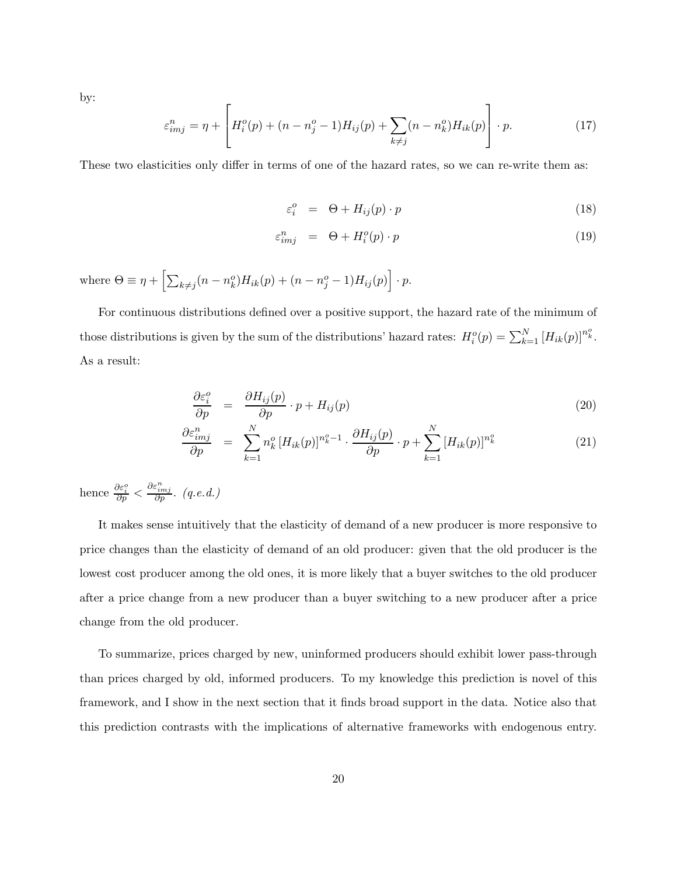by:

$$
\varepsilon_{imj}^{n} = \eta + \left[ H_i^o(p) + (n - n_j^o - 1)H_{ij}(p) + \sum_{k \neq j} (n - n_k^o)H_{ik}(p) \right] \cdot p. \tag{17}
$$

These two elasticities only differ in terms of one of the hazard rates, so we can re-write them as:

$$
\varepsilon_i^o = \Theta + H_{ij}(p) \cdot p \tag{18}
$$

$$
\varepsilon_{imj}^{n} = \Theta + H_i^o(p) \cdot p \tag{19}
$$

where  $\Theta \equiv \eta + \left[ \sum_{k \neq j} (n - n_k^o) H_{ik}(p) + (n - n_j^o - 1) H_{ij}(p) \right] \cdot p$ .

For continuous distributions defined over a positive support, the hazard rate of the minimum of those distributions is given by the sum of the distributions' hazard rates:  $H_i^o(p) = \sum_{k=1}^{N} [H_{ik}(p)]^{n_k^o}$ . As a result:

$$
\frac{\partial \varepsilon_i^o}{\partial p} = \frac{\partial H_{ij}(p)}{\partial p} \cdot p + H_{ij}(p) \tag{20}
$$

$$
\frac{\partial \varepsilon_{imj}^n}{\partial p} = \sum_{k=1}^N n_k^o \left[ H_{ik}(p) \right]^{n_k^o - 1} \cdot \frac{\partial H_{ij}(p)}{\partial p} \cdot p + \sum_{k=1}^N \left[ H_{ik}(p) \right]^{n_k^o} \tag{21}
$$

hence  $\frac{\partial \varepsilon_i^o}{\partial p} < \frac{\partial \varepsilon_{imj}^n}{\partial p}$ . *(q.e.d.)* 

It makes sense intuitively that the elasticity of demand of a new producer is more responsive to price changes than the elasticity of demand of an old producer: given that the old producer is the lowest cost producer among the old ones, it is more likely that a buyer switches to the old producer after a price change from a new producer than a buyer switching to a new producer after a price change from the old producer.

To summarize, prices charged by new, uninformed producers should exhibit lower pass-through than prices charged by old, informed producers. To my knowledge this prediction is novel of this framework, and I show in the next section that it finds broad support in the data. Notice also that this prediction contrasts with the implications of alternative frameworks with endogenous entry.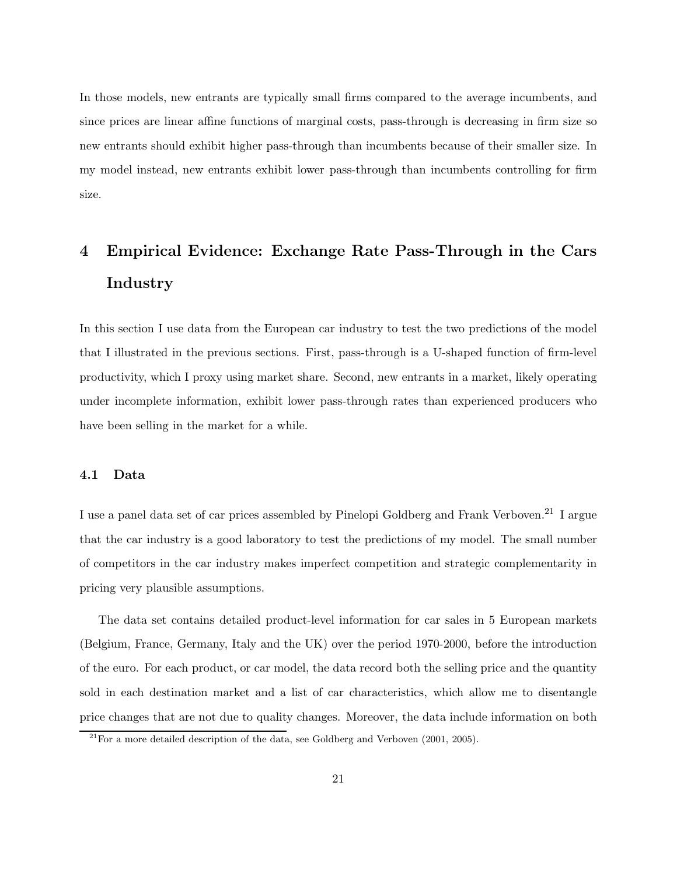In those models, new entrants are typically small firms compared to the average incumbents, and since prices are linear affine functions of marginal costs, pass-through is decreasing in firm size so new entrants should exhibit higher pass-through than incumbents because of their smaller size. In my model instead, new entrants exhibit lower pass-through than incumbents controlling for firm size.

# 4 Empirical Evidence: Exchange Rate Pass-Through in the Cars Industry

In this section I use data from the European car industry to test the two predictions of the model that I illustrated in the previous sections. First, pass-through is a U-shaped function of firm-level productivity, which I proxy using market share. Second, new entrants in a market, likely operating under incomplete information, exhibit lower pass-through rates than experienced producers who have been selling in the market for a while.

### 4.1 Data

I use a panel data set of car prices assembled by Pinelopi Goldberg and Frank Verboven.<sup>21</sup> I argue that the car industry is a good laboratory to test the predictions of my model. The small number of competitors in the car industry makes imperfect competition and strategic complementarity in pricing very plausible assumptions.

The data set contains detailed product-level information for car sales in 5 European markets (Belgium, France, Germany, Italy and the UK) over the period 1970-2000, before the introduction of the euro. For each product, or car model, the data record both the selling price and the quantity sold in each destination market and a list of car characteristics, which allow me to disentangle price changes that are not due to quality changes. Moreover, the data include information on both

 $^{21}$ For a more detailed description of the data, see Goldberg and Verboven (2001, 2005).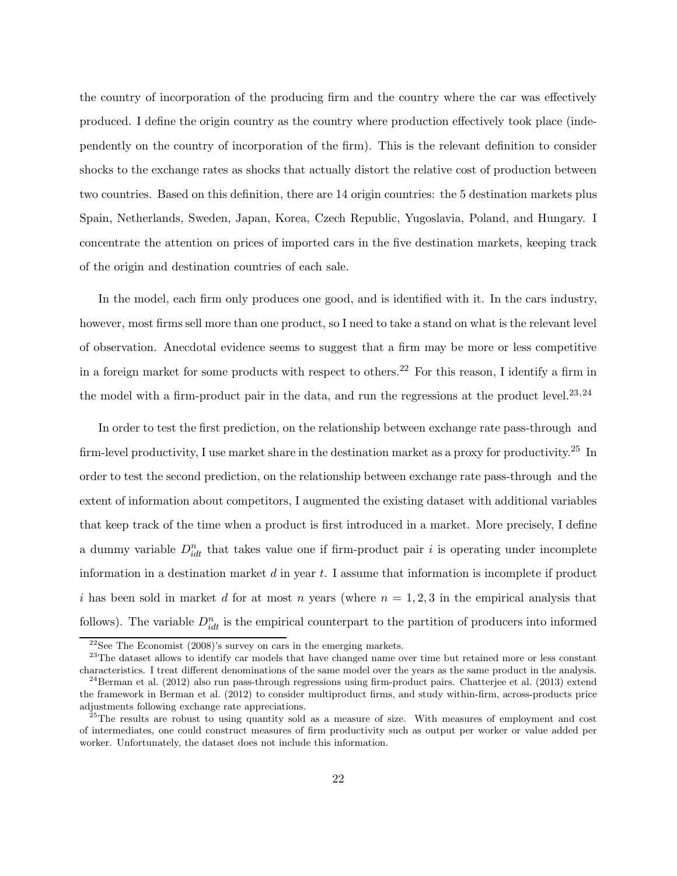the country of incorporation of the producing firm and the country where the car was effectively produced. I define the origin country as the country where production effectively took place (independently on the country of incorporation of the firm). This is the relevant definition to consider shocks to the exchange rates as shocks that actually distort the relative cost of production between two countries. Based on this definition, there are 14 origin countries: the 5 destination markets plus Spain, Netherlands, Sweden, Japan, Korea, Czech Republic, Yugoslavia, Poland, and Hungary. I concentrate the attention on prices of imported cars in the five destination markets, keeping track of the origin and destination countries of each sale.

In the model, each firm only produces one good, and is identified with it. In the cars industry, however, most firms sell more than one product, so I need to take a stand on what is the relevant level of observation. Anecdotal evidence seems to suggest that a firm may be more or less competitive in a foreign market for some products with respect to others.<sup>22</sup> For this reason, I identify a firm in the model with a firm-product pair in the data, and run the regressions at the product level.<sup>23,24</sup>

In order to test the first prediction, on the relationship between exchange rate pass-through and firm-level productivity, I use market share in the destination market as a proxy for productivity.<sup>25</sup> In order to test the second prediction, on the relationship between exchange rate pass-through and the extent of information about competitors, I augmented the existing dataset with additional variables that keep track of the time when a product is first introduced in a market. More precisely, I define a dummy variable  $D_{idt}^n$  that takes value one if firm-product pair i is operating under incomplete information in a destination market  $d$  in year  $t$ . I assume that information is incomplete if product i has been sold in market d for at most n years (where  $n = 1, 2, 3$  in the empirical analysis that follows). The variable  $D_{idt}^n$  is the empirical counterpart to the partition of producers into informed

 $^{22}\rm{See}$  The Economist (2008)'s survey on cars in the emerging markets.

<sup>&</sup>lt;sup>23</sup>The dataset allows to identify car models that have changed name over time but retained more or less constant characteristics. I treat different denominations of the same model over the years as the same product in the analysis.

 $^{24}$ Berman et al. (2012) also run pass-through regressions using firm-product pairs. Chatterjee et al. (2013) extend the framework in Berman et al. (2012) to consider multiproduct firms, and study within-firm, across-products price adjustments following exchange rate appreciations.

<sup>&</sup>lt;sup>25</sup>The results are robust to using quantity sold as a measure of size. With measures of employment and cost of intermediates, one could construct measures of firm productivity such as output per worker or value added per worker. Unfortunately, the dataset does not include this information.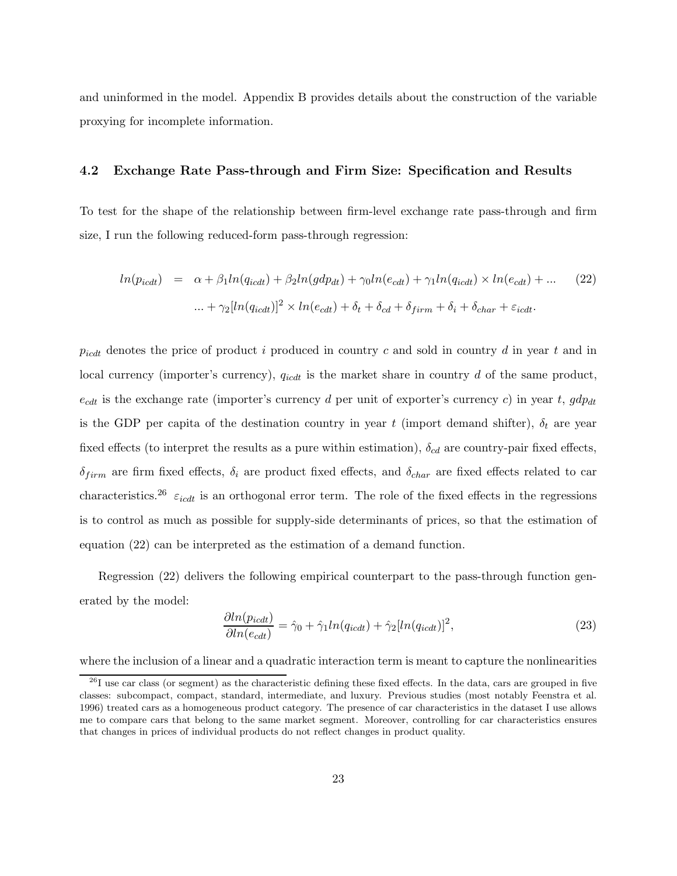and uninformed in the model. Appendix B provides details about the construction of the variable proxying for incomplete information.

### 4.2 Exchange Rate Pass-through and Firm Size: Specification and Results

To test for the shape of the relationship between firm-level exchange rate pass-through and firm size, I run the following reduced-form pass-through regression:

$$
ln(p_{icdt}) = \alpha + \beta_1 ln(q_{icdt}) + \beta_2 ln(gdp_{dt}) + \gamma_0 ln(e_{cdt}) + \gamma_1 ln(q_{icdt}) \times ln(e_{cdt}) + ... \tag{22}
$$

$$
\dots + \gamma_2 [ln(q_{icdt})]^2 \times ln(e_{cdt}) + \delta_t + \delta_{cd} + \delta_{firm} + \delta_i + \delta_{char} + \varepsilon_{icdt}.
$$

 $p_{icdt}$  denotes the price of product i produced in country c and sold in country d in year t and in local currency (importer's currency),  $q_{icdt}$  is the market share in country d of the same product,  $e_{cdt}$  is the exchange rate (importer's currency d per unit of exporter's currency c) in year t,  $gdp_{dt}$ is the GDP per capita of the destination country in year t (import demand shifter),  $\delta_t$  are year fixed effects (to interpret the results as a pure within estimation),  $\delta_{cd}$  are country-pair fixed effects,  $\delta_{firm}$  are firm fixed effects,  $\delta_i$  are product fixed effects, and  $\delta_{char}$  are fixed effects related to car characteristics.<sup>26</sup>  $\varepsilon_{icdt}$  is an orthogonal error term. The role of the fixed effects in the regressions is to control as much as possible for supply-side determinants of prices, so that the estimation of equation (22) can be interpreted as the estimation of a demand function.

Regression (22) delivers the following empirical counterpart to the pass-through function generated by the model:

$$
\frac{\partial \ln(p_{icdt})}{\partial \ln(e_{cdt})} = \hat{\gamma}_0 + \hat{\gamma}_1 \ln(q_{icdt}) + \hat{\gamma}_2 [\ln(q_{icdt})]^2,\tag{23}
$$

where the inclusion of a linear and a quadratic interaction term is meant to capture the nonlinearities

 $26$ I use car class (or segment) as the characteristic defining these fixed effects. In the data, cars are grouped in five classes: subcompact, compact, standard, intermediate, and luxury. Previous studies (most notably Feenstra et al. 1996) treated cars as a homogeneous product category. The presence of car characteristics in the dataset I use allows me to compare cars that belong to the same market segment. Moreover, controlling for car characteristics ensures that changes in prices of individual products do not reflect changes in product quality.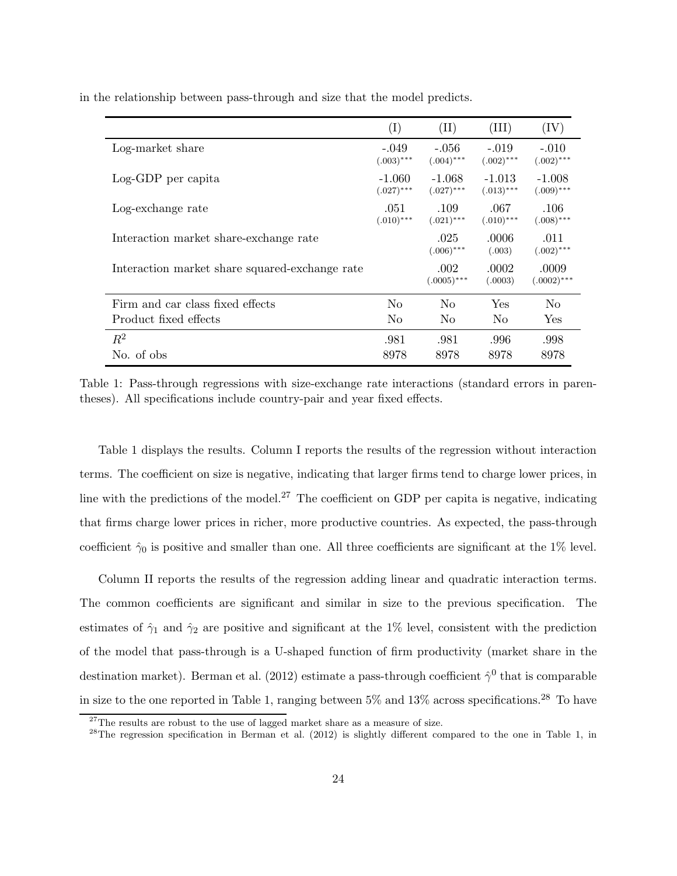|                                                | $\rm(I)$                 | $(\mathrm{II})$          | (III)                    | (IV)                     |
|------------------------------------------------|--------------------------|--------------------------|--------------------------|--------------------------|
| Log-market share                               | $-.049$<br>$(.003)$ ***  | $-.056$<br>$(.004)$ ***  | $-.019$<br>$(.002)$ ***  | $-.010$<br>$(.002)$ ***  |
| Log-GDP per capita                             | $-1.060$<br>$(.027)$ *** | $-1.068$<br>$(.027)$ *** | $-1.013$<br>$(.013)$ *** | $-1.008$<br>$(.009)$ *** |
| Log-exchange rate                              | .051<br>$(.010)$ ***     | .109<br>$(.021)$ ***     | .067<br>$(.010)$ ***     | .106<br>$(.008)$ ***     |
| Interaction market share-exchange rate         |                          | .025<br>$(.006)$ ***     | .0006<br>(.003)          | .011<br>$(.002)$ ***     |
| Interaction market share squared-exchange rate |                          | .002<br>$(.0005)$ ***    | .0002<br>(.0003)         | .0009<br>$(.0002)$ ***   |
| Firm and car class fixed effects               | N <sub>0</sub>           | N <sub>0</sub>           | Yes                      | N <sub>0</sub>           |
| Product fixed effects                          | N <sub>0</sub>           | N <sub>0</sub>           | N <sub>0</sub>           | Yes                      |
| $R^2$                                          | .981                     | .981                     | .996                     | .998                     |
| No. of obs                                     | 8978                     | 8978                     | 8978                     | 8978                     |

in the relationship between pass-through and size that the model predicts.

Table 1: Pass-through regressions with size-exchange rate interactions (standard errors in parentheses). All specifications include country-pair and year fixed effects.

Table 1 displays the results. Column I reports the results of the regression without interaction terms. The coefficient on size is negative, indicating that larger firms tend to charge lower prices, in line with the predictions of the model.<sup>27</sup> The coefficient on GDP per capita is negative, indicating that firms charge lower prices in richer, more productive countries. As expected, the pass-through coefficient  $\hat{\gamma}_0$  is positive and smaller than one. All three coefficients are significant at the 1% level.

Column II reports the results of the regression adding linear and quadratic interaction terms. The common coefficients are significant and similar in size to the previous specification. The estimates of  $\hat{\gamma}_1$  and  $\hat{\gamma}_2$  are positive and significant at the 1% level, consistent with the prediction of the model that pass-through is a U-shaped function of firm productivity (market share in the destination market). Berman et al. (2012) estimate a pass-through coefficient  $\hat{\gamma}^0$  that is comparable in size to the one reported in Table 1, ranging between  $5\%$  and  $13\%$  across specifications.<sup>28</sup> To have

 $27$ The results are robust to the use of lagged market share as a measure of size.

 $^{28}$ The regression specification in Berman et al. (2012) is slightly different compared to the one in Table 1, in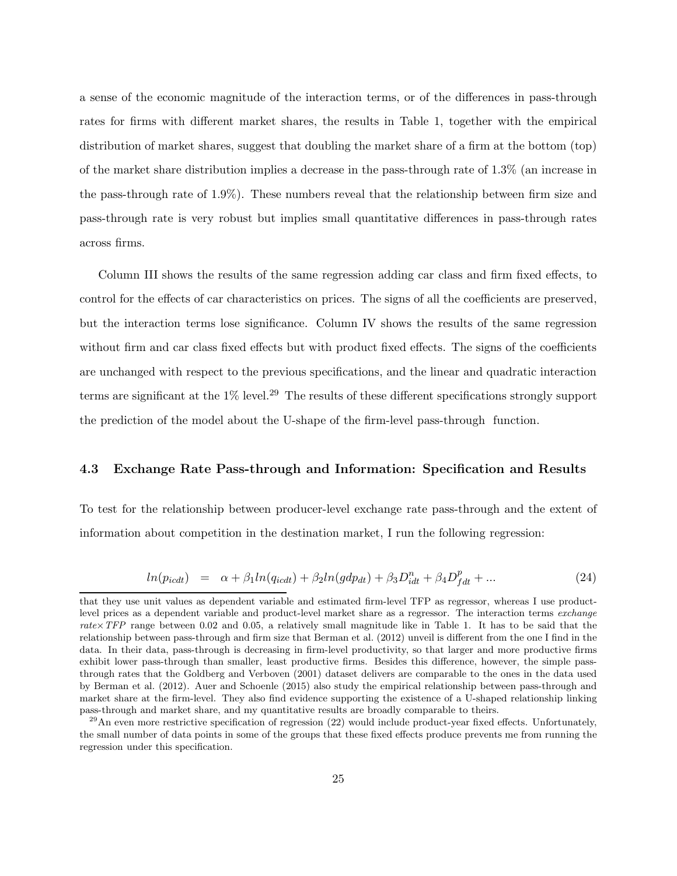a sense of the economic magnitude of the interaction terms, or of the differences in pass-through rates for firms with different market shares, the results in Table 1, together with the empirical distribution of market shares, suggest that doubling the market share of a firm at the bottom (top) of the market share distribution implies a decrease in the pass-through rate of 1.3% (an increase in the pass-through rate of 1.9%). These numbers reveal that the relationship between firm size and pass-through rate is very robust but implies small quantitative differences in pass-through rates across firms.

Column III shows the results of the same regression adding car class and firm fixed effects, to control for the effects of car characteristics on prices. The signs of all the coefficients are preserved, but the interaction terms lose significance. Column IV shows the results of the same regression without firm and car class fixed effects but with product fixed effects. The signs of the coefficients are unchanged with respect to the previous specifications, and the linear and quadratic interaction terms are significant at the  $1\%$  level.<sup>29</sup> The results of these different specifications strongly support the prediction of the model about the U-shape of the firm-level pass-through function.

### 4.3 Exchange Rate Pass-through and Information: Specification and Results

To test for the relationship between producer-level exchange rate pass-through and the extent of information about competition in the destination market, I run the following regression:

$$
ln(p_{icdt}) = \alpha + \beta_1 ln(q_{icdt}) + \beta_2 ln(gdp_{dt}) + \beta_3 D_{idt}^n + \beta_4 D_{fdt}^p + ... \qquad (24)
$$

that they use unit values as dependent variable and estimated firm-level TFP as regressor, whereas I use productlevel prices as a dependent variable and product-level market share as a regressor. The interaction terms exchange rate× $TFP$  range between 0.02 and 0.05, a relatively small magnitude like in Table 1. It has to be said that the relationship between pass-through and firm size that Berman et al. (2012) unveil is different from the one I find in the data. In their data, pass-through is decreasing in firm-level productivity, so that larger and more productive firms exhibit lower pass-through than smaller, least productive firms. Besides this difference, however, the simple passthrough rates that the Goldberg and Verboven (2001) dataset delivers are comparable to the ones in the data used by Berman et al. (2012). Auer and Schoenle (2015) also study the empirical relationship between pass-through and market share at the firm-level. They also find evidence supporting the existence of a U-shaped relationship linking pass-through and market share, and my quantitative results are broadly comparable to theirs.

 $^{29}$ An even more restrictive specification of regression  $(22)$  would include product-year fixed effects. Unfortunately, the small number of data points in some of the groups that these fixed effects produce prevents me from running the regression under this specification.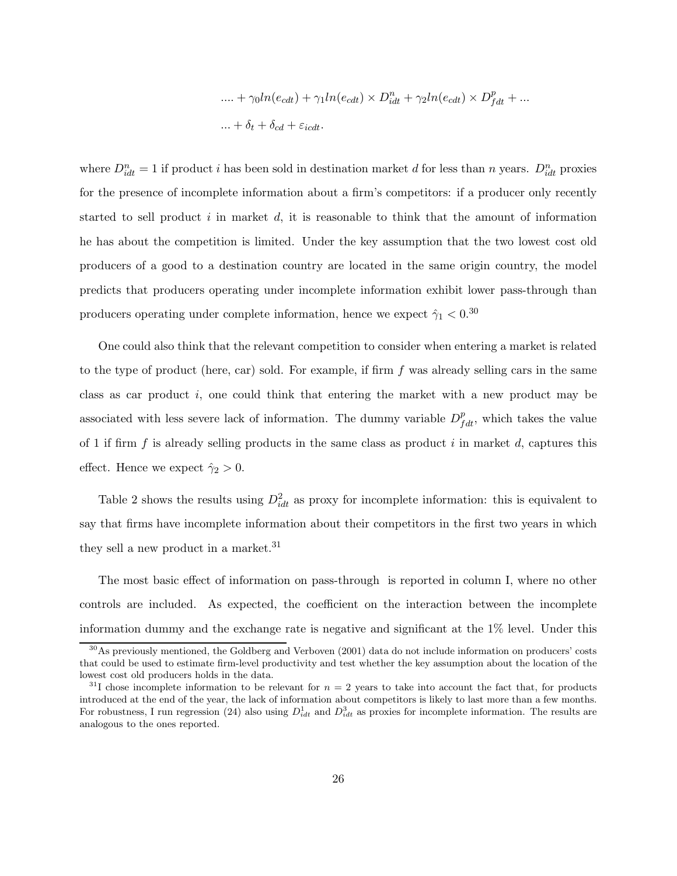$$
\begin{aligned} &\ldots + \gamma_0 ln(e_{cdt}) + \gamma_1 ln(e_{cdt}) \times D_{idt}^n + \gamma_2 ln(e_{cdt}) \times D_{fdt}^p + \ldots \\ &\ldots + \delta_t + \delta_{cd} + \varepsilon_{icdt}. \end{aligned}
$$

where  $D_{idt}^n = 1$  if product i has been sold in destination market d for less than n years.  $D_{idt}^n$  proxies for the presence of incomplete information about a firm's competitors: if a producer only recently started to sell product  $i$  in market  $d$ , it is reasonable to think that the amount of information he has about the competition is limited. Under the key assumption that the two lowest cost old producers of a good to a destination country are located in the same origin country, the model predicts that producers operating under incomplete information exhibit lower pass-through than producers operating under complete information, hence we expect  $\hat{\gamma}_1 < 0.30$ 

One could also think that the relevant competition to consider when entering a market is related to the type of product (here, car) sold. For example, if firm  $f$  was already selling cars in the same class as car product i, one could think that entering the market with a new product may be associated with less severe lack of information. The dummy variable  $D_{fdt}^p$ , which takes the value of 1 if firm f is already selling products in the same class as product i in market d, captures this effect. Hence we expect  $\hat{\gamma}_2 > 0$ .

Table 2 shows the results using  $D_{idt}^2$  as proxy for incomplete information: this is equivalent to say that firms have incomplete information about their competitors in the first two years in which they sell a new product in a market.<sup>31</sup>

The most basic effect of information on pass-through is reported in column I, where no other controls are included. As expected, the coefficient on the interaction between the incomplete information dummy and the exchange rate is negative and significant at the 1% level. Under this

 $30\text{As}$  previously mentioned, the Goldberg and Verboven (2001) data do not include information on producers' costs that could be used to estimate firm-level productivity and test whether the key assumption about the location of the lowest cost old producers holds in the data.

 $31$ I chose incomplete information to be relevant for  $n = 2$  years to take into account the fact that, for products introduced at the end of the year, the lack of information about competitors is likely to last more than a few months. For robustness, I run regression (24) also using  $D_{idt}^1$  and  $D_{idt}^3$  as proxies for incomplete information. The results are analogous to the ones reported.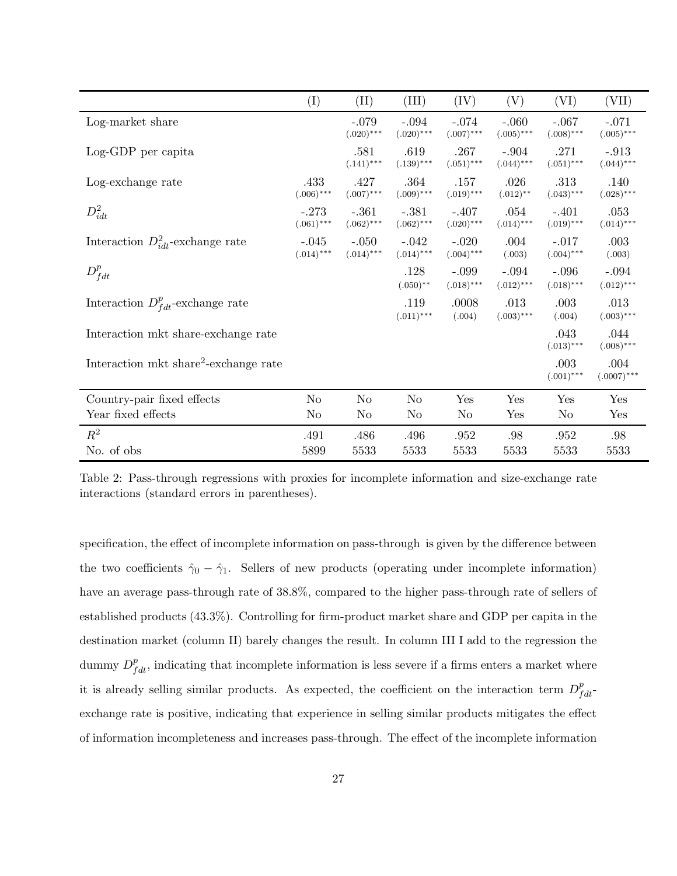|                                                   | (I)                     | (II)                    | (III)                   | (IV)                    | (V)                     | (VI)                    | (VII)                   |
|---------------------------------------------------|-------------------------|-------------------------|-------------------------|-------------------------|-------------------------|-------------------------|-------------------------|
| Log-market share                                  |                         | $-.079$<br>$(.020)$ *** | $-.094$<br>$(.020)$ *** | $-.074$<br>$(.007)$ *** | $-.060$<br>$(.005)$ *** | $-.067$<br>$(.008)$ *** | $-.071$<br>$(.005)$ *** |
| Log-GDP per capita                                |                         | .581<br>$(.141)$ ***    | .619<br>$(.139)$ ***    | .267<br>$(.051)$ ***    | $-.904$<br>$(.044)$ *** | .271<br>$(.051)$ ***    | $-.913$<br>$(.044)$ *** |
| Log-exchange rate                                 | .433<br>$(.006)$ ***    | .427<br>$(.007)$ ***    | .364<br>$(.009)$ ***    | .157<br>$(.019)$ ***    | .026<br>$(.012)$ **     | .313<br>$(.043)***$     | .140<br>$(.028)***$     |
| $D_{idt}^2$                                       | $-.273$<br>$(.061)$ *** | $-.361$<br>$(.062)***$  | $-.381$<br>$(.062)***$  | $-.407$<br>$(.020)$ *** | .054<br>$(.014)***$     | $-.401$<br>$(.019)$ *** | .053<br>$(.014)$ ***    |
| Interaction $D_{idt}^2$ -exchange rate            | $-.045$<br>$(.014)$ *** | $-.050$<br>$(.014)$ *** | $-.042$<br>$(.014)$ *** | $-.020$<br>$(.004)$ *** | .004<br>(.003)          | $-.017$<br>$(.004)$ *** | .003<br>(.003)          |
| $D_{fdt}^p$                                       |                         |                         | .128<br>$(.050)$ **     | $-.099$<br>$(.018)$ *** | $-.094$<br>$(.012)$ *** | $-.096$<br>$(.018)$ *** | $-.094$<br>$(.012)$ *** |
| Interaction $D_{fdt}^p$ -exchange rate            |                         |                         | .119<br>$(.011)$ ***    | .0008<br>(.004)         | .013<br>$(.003)$ ***    | .003<br>(.004)          | .013<br>$(.003)$ ***    |
| Interaction mkt share-exchange rate               |                         |                         |                         |                         |                         | .043<br>$(.013)***$     | .044<br>$(.008)$ ***    |
| Interaction mkt share <sup>2</sup> -exchange rate |                         |                         |                         |                         |                         | .003<br>$(.001)$ ***    | .004<br>$(.0007)$ ***   |
| Country-pair fixed effects                        | N <sub>o</sub>          | N <sub>o</sub>          | No                      | Yes                     | Yes                     | Yes                     | Yes                     |
| Year fixed effects                                | No                      | N <sub>o</sub>          | N <sub>o</sub>          | No                      | Yes                     | N <sub>o</sub>          | Yes                     |
| $R^2$                                             | .491                    | .486                    | .496                    | .952                    | .98                     | .952                    | .98                     |
| No. of obs                                        | 5899                    | 5533                    | 5533                    | 5533                    | 5533                    | 5533                    | 5533                    |

Table 2: Pass-through regressions with proxies for incomplete information and size-exchange rate interactions (standard errors in parentheses).

specification, the effect of incomplete information on pass-through is given by the difference between the two coefficients  $\hat{\gamma}_0 - \hat{\gamma}_1$ . Sellers of new products (operating under incomplete information) have an average pass-through rate of 38.8%, compared to the higher pass-through rate of sellers of established products (43.3%). Controlling for firm-product market share and GDP per capita in the destination market (column II) barely changes the result. In column III I add to the regression the dummy  $D_{fdt}^p$ , indicating that incomplete information is less severe if a firms enters a market where it is already selling similar products. As expected, the coefficient on the interaction term  $D_{fdt}^p$ exchange rate is positive, indicating that experience in selling similar products mitigates the effect of information incompleteness and increases pass-through. The effect of the incomplete information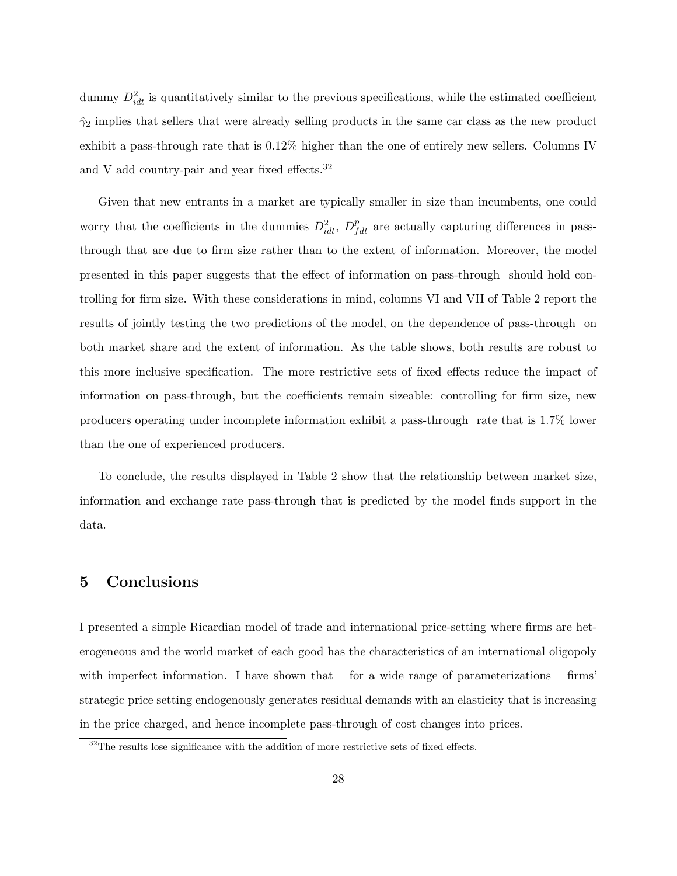dummy  $D_{idt}^2$  is quantitatively similar to the previous specifications, while the estimated coefficient  $\hat{\gamma}_2$  implies that sellers that were already selling products in the same car class as the new product exhibit a pass-through rate that is 0.12% higher than the one of entirely new sellers. Columns IV and V add country-pair and year fixed effects.<sup>32</sup>

Given that new entrants in a market are typically smaller in size than incumbents, one could worry that the coefficients in the dummies  $D_{idt}^2$ ,  $D_{fdt}^p$  are actually capturing differences in passthrough that are due to firm size rather than to the extent of information. Moreover, the model presented in this paper suggests that the effect of information on pass-through should hold controlling for firm size. With these considerations in mind, columns VI and VII of Table 2 report the results of jointly testing the two predictions of the model, on the dependence of pass-through on both market share and the extent of information. As the table shows, both results are robust to this more inclusive specification. The more restrictive sets of fixed effects reduce the impact of information on pass-through, but the coefficients remain sizeable: controlling for firm size, new producers operating under incomplete information exhibit a pass-through rate that is 1.7% lower than the one of experienced producers.

To conclude, the results displayed in Table 2 show that the relationship between market size, information and exchange rate pass-through that is predicted by the model finds support in the data.

### 5 Conclusions

I presented a simple Ricardian model of trade and international price-setting where firms are heterogeneous and the world market of each good has the characteristics of an international oligopoly with imperfect information. I have shown that  $-$  for a wide range of parameterizations  $-$  firms' strategic price setting endogenously generates residual demands with an elasticity that is increasing in the price charged, and hence incomplete pass-through of cost changes into prices.

 $32$ The results lose significance with the addition of more restrictive sets of fixed effects.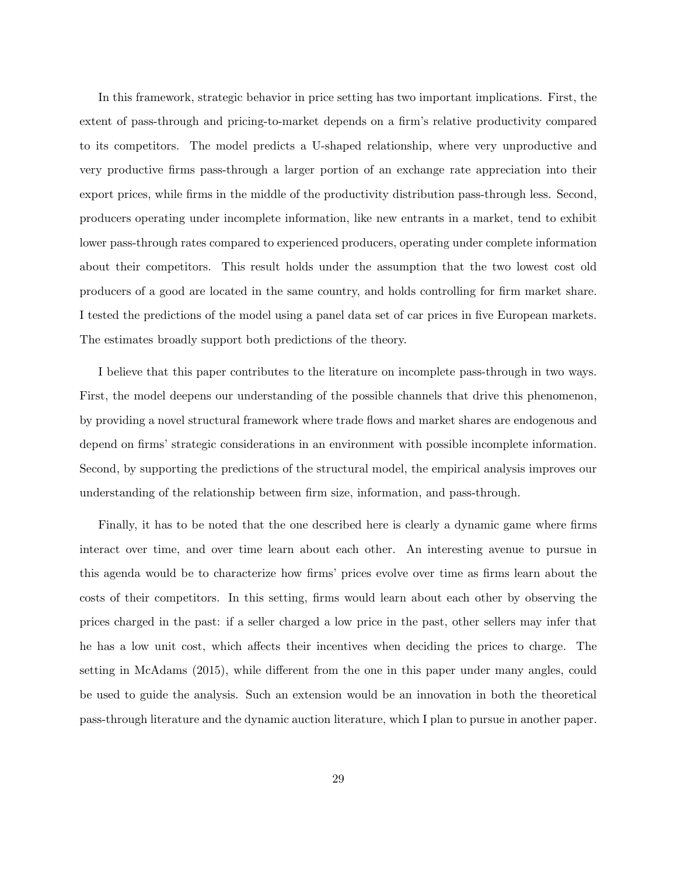In this framework, strategic behavior in price setting has two important implications. First, the extent of pass-through and pricing-to-market depends on a firm's relative productivity compared to its competitors. The model predicts a U-shaped relationship, where very unproductive and very productive firms pass-through a larger portion of an exchange rate appreciation into their export prices, while firms in the middle of the productivity distribution pass-through less. Second, producers operating under incomplete information, like new entrants in a market, tend to exhibit lower pass-through rates compared to experienced producers, operating under complete information about their competitors. This result holds under the assumption that the two lowest cost old producers of a good are located in the same country, and holds controlling for firm market share. I tested the predictions of the model using a panel data set of car prices in five European markets. The estimates broadly support both predictions of the theory.

I believe that this paper contributes to the literature on incomplete pass-through in two ways. First, the model deepens our understanding of the possible channels that drive this phenomenon, by providing a novel structural framework where trade flows and market shares are endogenous and depend on firms' strategic considerations in an environment with possible incomplete information. Second, by supporting the predictions of the structural model, the empirical analysis improves our understanding of the relationship between firm size, information, and pass-through.

Finally, it has to be noted that the one described here is clearly a dynamic game where firms interact over time, and over time learn about each other. An interesting avenue to pursue in this agenda would be to characterize how firms' prices evolve over time as firms learn about the costs of their competitors. In this setting, firms would learn about each other by observing the prices charged in the past: if a seller charged a low price in the past, other sellers may infer that he has a low unit cost, which affects their incentives when deciding the prices to charge. The setting in McAdams (2015), while different from the one in this paper under many angles, could be used to guide the analysis. Such an extension would be an innovation in both the theoretical pass-through literature and the dynamic auction literature, which I plan to pursue in another paper.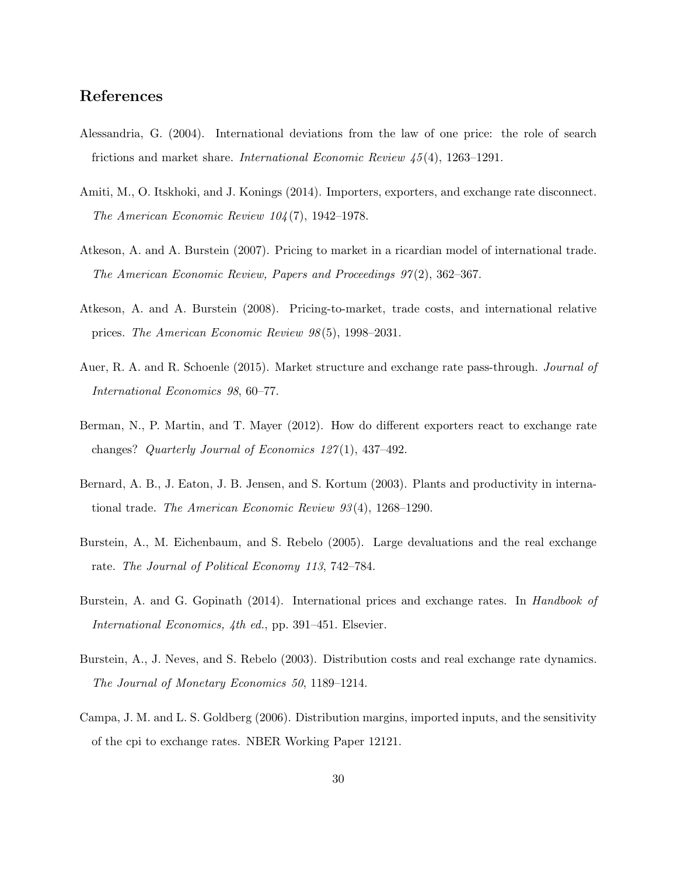# References

- Alessandria, G. (2004). International deviations from the law of one price: the role of search frictions and market share. *International Economic Review 45*(4), 1263–1291.
- Amiti, M., O. Itskhoki, and J. Konings (2014). Importers, exporters, and exchange rate disconnect. *The American Economic Review 104*(7), 1942–1978.
- Atkeson, A. and A. Burstein (2007). Pricing to market in a ricardian model of international trade. *The American Economic Review, Papers and Proceedings 97*(2), 362–367.
- Atkeson, A. and A. Burstein (2008). Pricing-to-market, trade costs, and international relative prices. *The American Economic Review 98*(5), 1998–2031.
- Auer, R. A. and R. Schoenle (2015). Market structure and exchange rate pass-through. *Journal of International Economics 98*, 60–77.
- Berman, N., P. Martin, and T. Mayer (2012). How do different exporters react to exchange rate changes? *Quarterly Journal of Economics 127*(1), 437–492.
- Bernard, A. B., J. Eaton, J. B. Jensen, and S. Kortum (2003). Plants and productivity in international trade. *The American Economic Review 93*(4), 1268–1290.
- Burstein, A., M. Eichenbaum, and S. Rebelo (2005). Large devaluations and the real exchange rate. *The Journal of Political Economy 113*, 742–784.
- Burstein, A. and G. Gopinath (2014). International prices and exchange rates. In *Handbook of International Economics, 4th ed.*, pp. 391–451. Elsevier.
- Burstein, A., J. Neves, and S. Rebelo (2003). Distribution costs and real exchange rate dynamics. *The Journal of Monetary Economics 50*, 1189–1214.
- Campa, J. M. and L. S. Goldberg (2006). Distribution margins, imported inputs, and the sensitivity of the cpi to exchange rates. NBER Working Paper 12121.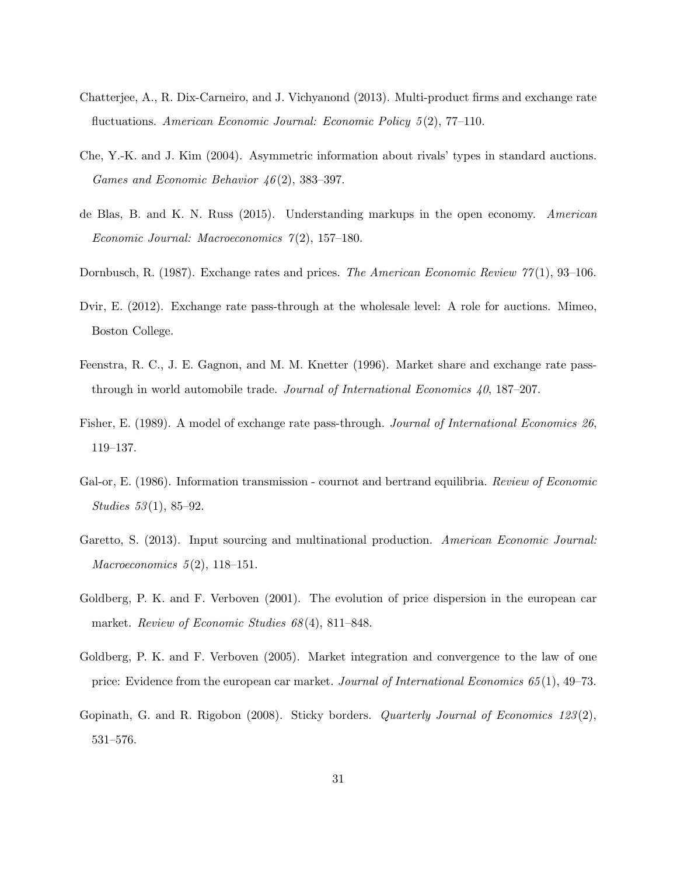- Chatterjee, A., R. Dix-Carneiro, and J. Vichyanond (2013). Multi-product firms and exchange rate fluctuations. *American Economic Journal: Economic Policy 5*(2), 77–110.
- Che, Y.-K. and J. Kim (2004). Asymmetric information about rivals' types in standard auctions. *Games and Economic Behavior 46*(2), 383–397.
- de Blas, B. and K. N. Russ (2015). Understanding markups in the open economy. *American Economic Journal: Macroeconomics 7*(2), 157–180.
- Dornbusch, R. (1987). Exchange rates and prices. *The American Economic Review 77*(1), 93–106.
- Dvir, E. (2012). Exchange rate pass-through at the wholesale level: A role for auctions. Mimeo, Boston College.
- Feenstra, R. C., J. E. Gagnon, and M. M. Knetter (1996). Market share and exchange rate passthrough in world automobile trade. *Journal of International Economics 40*, 187–207.
- Fisher, E. (1989). A model of exchange rate pass-through. *Journal of International Economics 26*, 119–137.
- Gal-or, E. (1986). Information transmission cournot and bertrand equilibria. *Review of Economic Studies 53*(1), 85–92.
- Garetto, S. (2013). Input sourcing and multinational production. *American Economic Journal: Macroeconomics 5*(2), 118–151.
- Goldberg, P. K. and F. Verboven (2001). The evolution of price dispersion in the european car market. *Review of Economic Studies 68*(4), 811–848.
- Goldberg, P. K. and F. Verboven (2005). Market integration and convergence to the law of one price: Evidence from the european car market. *Journal of International Economics 65*(1), 49–73.
- Gopinath, G. and R. Rigobon (2008). Sticky borders. *Quarterly Journal of Economics 123*(2), 531–576.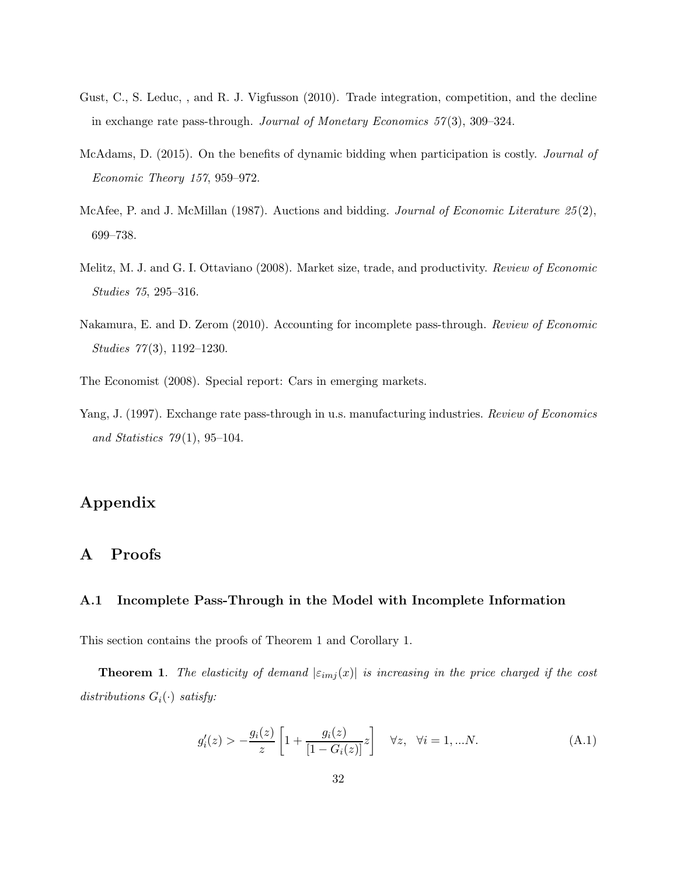- Gust, C., S. Leduc, , and R. J. Vigfusson (2010). Trade integration, competition, and the decline in exchange rate pass-through. *Journal of Monetary Economics 57*(3), 309–324.
- McAdams, D. (2015). On the benefits of dynamic bidding when participation is costly. *Journal of Economic Theory 157*, 959–972.
- McAfee, P. and J. McMillan (1987). Auctions and bidding. *Journal of Economic Literature 25*(2), 699–738.
- Melitz, M. J. and G. I. Ottaviano (2008). Market size, trade, and productivity. *Review of Economic Studies 75*, 295–316.
- Nakamura, E. and D. Zerom (2010). Accounting for incomplete pass-through. *Review of Economic Studies 77*(3), 1192–1230.
- The Economist (2008). Special report: Cars in emerging markets.
- Yang, J. (1997). Exchange rate pass-through in u.s. manufacturing industries. *Review of Economics and Statistics 79*(1), 95–104.

# Appendix

# A Proofs

### A.1 Incomplete Pass-Through in the Model with Incomplete Information

This section contains the proofs of Theorem 1 and Corollary 1.

**Theorem 1.** *The elasticity of demand*  $|\varepsilon_{imj}(x)|$  *is increasing in the price charged if the cost*  $distributions G_i(\cdot)$  *satisfy:* 

$$
g'_{i}(z) > -\frac{g_{i}(z)}{z} \left[ 1 + \frac{g_{i}(z)}{[1 - G_{i}(z)]} z \right] \quad \forall z, \ \forall i = 1,...N.
$$
 (A.1)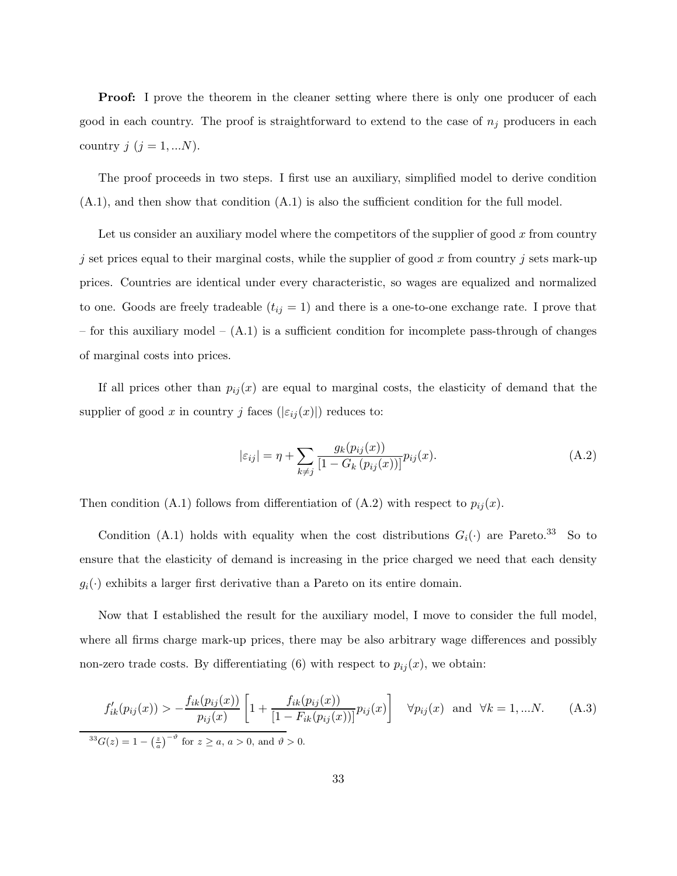**Proof:** I prove the theorem in the cleaner setting where there is only one producer of each good in each country. The proof is straightforward to extend to the case of  $n<sub>i</sub>$  producers in each country  $j$   $(j = 1, ...N)$ .

The proof proceeds in two steps. I first use an auxiliary, simplified model to derive condition (A.1), and then show that condition (A.1) is also the sufficient condition for the full model.

Let us consider an auxiliary model where the competitors of the supplier of good  $x$  from country j set prices equal to their marginal costs, while the supplier of good x from country j sets mark-up prices. Countries are identical under every characteristic, so wages are equalized and normalized to one. Goods are freely tradeable  $(t_{ij} = 1)$  and there is a one-to-one exchange rate. I prove that – for this auxiliary model – (A.1) is a sufficient condition for incomplete pass-through of changes of marginal costs into prices.

If all prices other than  $p_{ij}(x)$  are equal to marginal costs, the elasticity of demand that the supplier of good x in country j faces  $(|\varepsilon_{ij}(x)|)$  reduces to:

$$
|\varepsilon_{ij}| = \eta + \sum_{k \neq j} \frac{g_k(p_{ij}(x))}{[1 - G_k(p_{ij}(x))]^{p_{ij}(x)}.
$$
 (A.2)

Then condition (A.1) follows from differentiation of (A.2) with respect to  $p_{ij}(x)$ .

Condition (A.1) holds with equality when the cost distributions  $G_i(\cdot)$  are Pareto.<sup>33</sup> So to ensure that the elasticity of demand is increasing in the price charged we need that each density  $g_i(\cdot)$  exhibits a larger first derivative than a Pareto on its entire domain.

Now that I established the result for the auxiliary model, I move to consider the full model, where all firms charge mark-up prices, there may be also arbitrary wage differences and possibly non-zero trade costs. By differentiating (6) with respect to  $p_{ij}(x)$ , we obtain:

$$
f'_{ik}(p_{ij}(x)) > -\frac{f_{ik}(p_{ij}(x))}{p_{ij}(x)} \left[1 + \frac{f_{ik}(p_{ij}(x))}{[1 - F_{ik}(p_{ij}(x))]}\right] \quad \forall p_{ij}(x) \text{ and } \forall k = 1,...N. \tag{A.3}
$$
  

$$
\sqrt[33]{g(z)} = 1 - \left(\frac{z}{a}\right)^{-\theta} \text{ for } z \ge a, a > 0, \text{ and } \theta > 0.
$$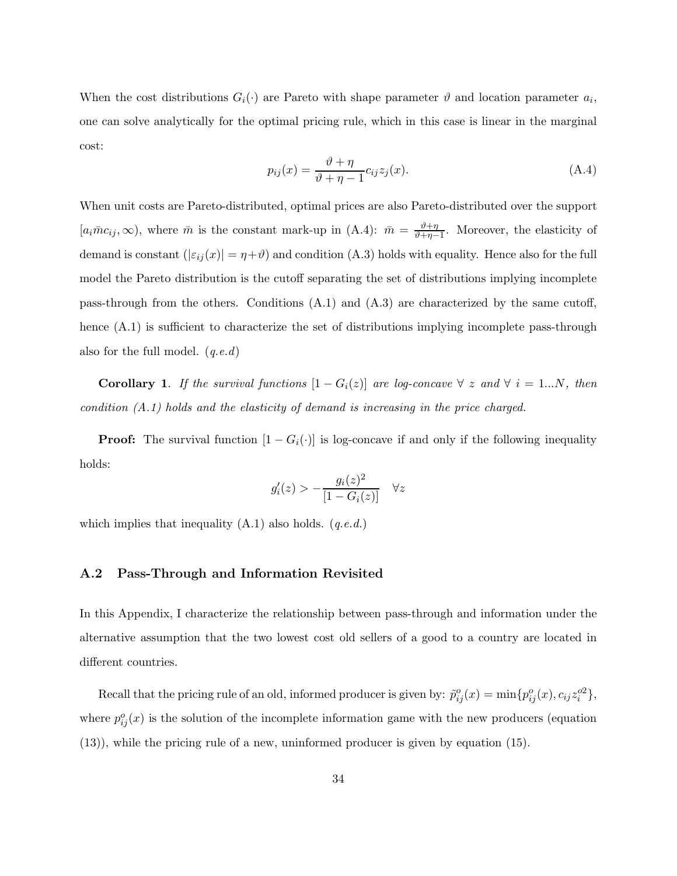When the cost distributions  $G_i(\cdot)$  are Pareto with shape parameter  $\vartheta$  and location parameter  $a_i$ , one can solve analytically for the optimal pricing rule, which in this case is linear in the marginal cost:

$$
p_{ij}(x) = \frac{\vartheta + \eta}{\vartheta + \eta - 1} c_{ij} z_j(x).
$$
 (A.4)

When unit costs are Pareto-distributed, optimal prices are also Pareto-distributed over the support  $[a_i\bar{m}c_{ij},\infty)$ , where  $\bar{m}$  is the constant mark-up in  $(A.4)$ :  $\bar{m} = \frac{\vartheta + \eta}{\vartheta + n}$  $\frac{v+\eta}{v+\eta-1}$ . Moreover, the elasticity of demand is constant  $(|\varepsilon_{ij}(x)| = \eta + \vartheta)$  and condition (A.3) holds with equality. Hence also for the full model the Pareto distribution is the cutoff separating the set of distributions implying incomplete pass-through from the others. Conditions (A.1) and (A.3) are characterized by the same cutoff, hence  $(A.1)$  is sufficient to characterize the set of distributions implying incomplete pass-through also for the full model. (*q.e.d*)

Corollary 1. *If the survival functions*  $[1 - G_i(z)]$  *are log-concave*  $\forall z$  *and*  $\forall i = 1...N$ *, then condition (A.1) holds and the elasticity of demand is increasing in the price charged.*

**Proof:** The survival function  $[1 - G_i(\cdot)]$  is log-concave if and only if the following inequality holds:

$$
g_i'(z) > -\frac{g_i(z)^2}{[1 - G_i(z)]} \quad \forall z
$$

which implies that inequality (A.1) also holds. (*q.e.d.*)

### A.2 Pass-Through and Information Revisited

In this Appendix, I characterize the relationship between pass-through and information under the alternative assumption that the two lowest cost old sellers of a good to a country are located in different countries.

Recall that the pricing rule of an old, informed producer is given by:  $\tilde{p}_{ij}^o(x) = \min\{p_{ij}^o(x), c_{ij}z_i^{o2}\},\$ where  $p_{ij}^o(x)$  is the solution of the incomplete information game with the new producers (equation (13)), while the pricing rule of a new, uninformed producer is given by equation (15).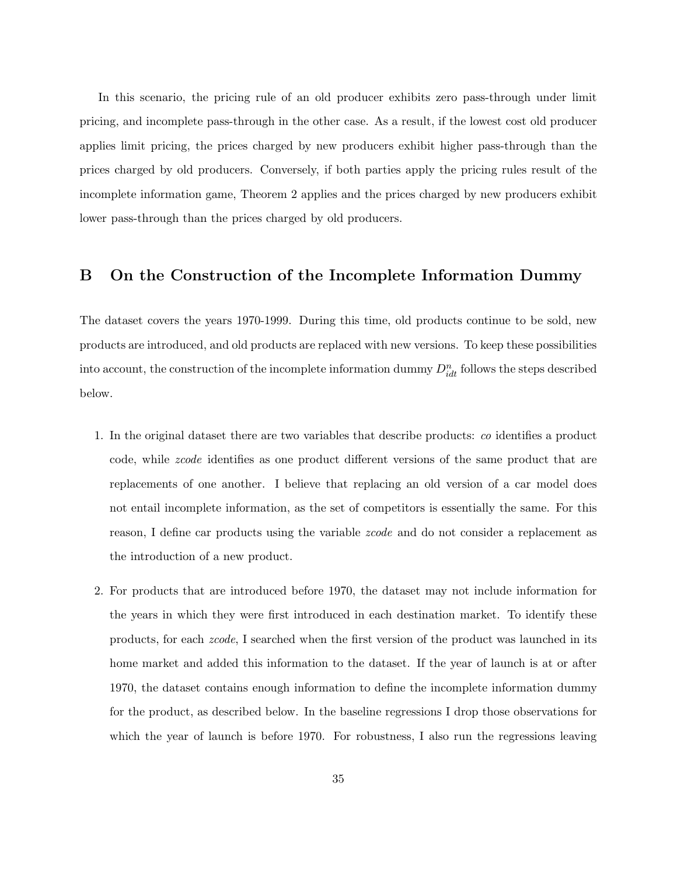In this scenario, the pricing rule of an old producer exhibits zero pass-through under limit pricing, and incomplete pass-through in the other case. As a result, if the lowest cost old producer applies limit pricing, the prices charged by new producers exhibit higher pass-through than the prices charged by old producers. Conversely, if both parties apply the pricing rules result of the incomplete information game, Theorem 2 applies and the prices charged by new producers exhibit lower pass-through than the prices charged by old producers.

### B On the Construction of the Incomplete Information Dummy

The dataset covers the years 1970-1999. During this time, old products continue to be sold, new products are introduced, and old products are replaced with new versions. To keep these possibilities into account, the construction of the incomplete information dummy  $D_{idt}^n$  follows the steps described below.

- 1. In the original dataset there are two variables that describe products: *co* identifies a product code, while *zcode* identifies as one product different versions of the same product that are replacements of one another. I believe that replacing an old version of a car model does not entail incomplete information, as the set of competitors is essentially the same. For this reason, I define car products using the variable *zcode* and do not consider a replacement as the introduction of a new product.
- 2. For products that are introduced before 1970, the dataset may not include information for the years in which they were first introduced in each destination market. To identify these products, for each *zcode*, I searched when the first version of the product was launched in its home market and added this information to the dataset. If the year of launch is at or after 1970, the dataset contains enough information to define the incomplete information dummy for the product, as described below. In the baseline regressions I drop those observations for which the year of launch is before 1970. For robustness, I also run the regressions leaving